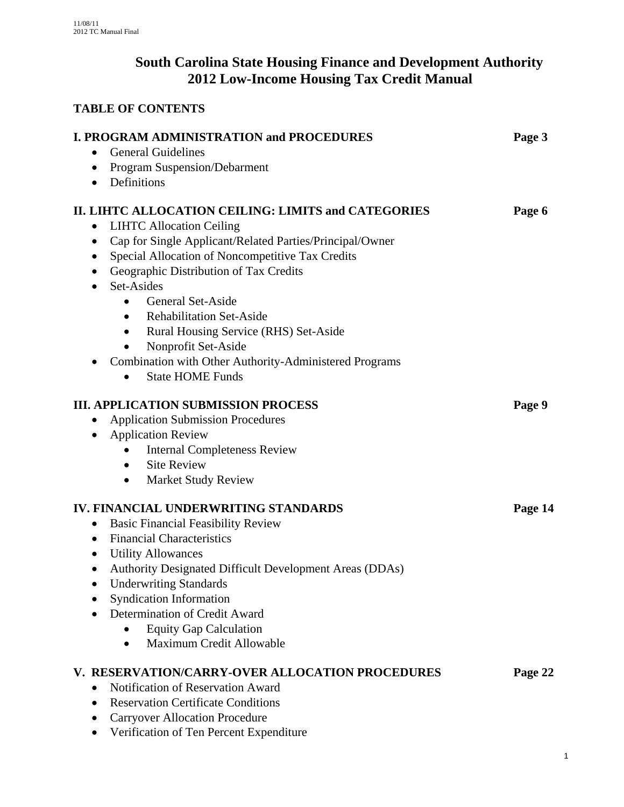# **South Carolina State Housing Finance and Development Authority 2012 Low-Income Housing Tax Credit Manual**

# **TABLE OF CONTENTS**

| <b>I. PROGRAM ADMINISTRATION and PROCEDURES</b><br>Page 3             |         |
|-----------------------------------------------------------------------|---------|
| <b>General Guidelines</b><br>$\bullet$                                |         |
| Program Suspension/Debarment<br>$\bullet$                             |         |
| Definitions<br>$\bullet$                                              |         |
| II. LIHTC ALLOCATION CEILING: LIMITS and CATEGORIES<br>Page 6         |         |
| <b>LIHTC Allocation Ceiling</b><br>$\bullet$                          |         |
| Cap for Single Applicant/Related Parties/Principal/Owner<br>$\bullet$ |         |
| Special Allocation of Noncompetitive Tax Credits                      |         |
| Geographic Distribution of Tax Credits<br>$\bullet$                   |         |
| Set-Asides<br>$\bullet$                                               |         |
| <b>General Set-Aside</b><br>$\bullet$                                 |         |
| <b>Rehabilitation Set-Aside</b><br>$\bullet$                          |         |
| Rural Housing Service (RHS) Set-Aside                                 |         |
| Nonprofit Set-Aside                                                   |         |
| Combination with Other Authority-Administered Programs<br>$\bullet$   |         |
| <b>State HOME Funds</b><br>$\bullet$                                  |         |
| <b>III. APPLICATION SUBMISSION PROCESS</b><br>Page 9                  |         |
| <b>Application Submission Procedures</b>                              |         |
| <b>Application Review</b><br>$\bullet$                                |         |
| <b>Internal Completeness Review</b><br>٠                              |         |
| <b>Site Review</b>                                                    |         |
| <b>Market Study Review</b><br>$\bullet$                               |         |
| IV. FINANCIAL UNDERWRITING STANDARDS                                  | Page 14 |
| <b>Basic Financial Feasibility Review</b><br>$\bullet$                |         |
| <b>Financial Characteristics</b><br>$\bullet$                         |         |
| <b>Utility Allowances</b><br>$\bullet$                                |         |
| Authority Designated Difficult Development Areas (DDAs)               |         |
| <b>Underwriting Standards</b>                                         |         |
| <b>Syndication Information</b>                                        |         |
| Determination of Credit Award                                         |         |
| <b>Equity Gap Calculation</b>                                         |         |
| Maximum Credit Allowable<br>$\bullet$                                 |         |
| V. RESERVATION/CARRY-OVER ALLOCATION PROCEDURES                       | Page 22 |
| Notification of Reservation Award<br>$\bullet$                        |         |
| <b>Reservation Certificate Conditions</b>                             |         |
| <b>Carryover Allocation Procedure</b>                                 |         |
| Verification of Ten Percent Expenditure                               |         |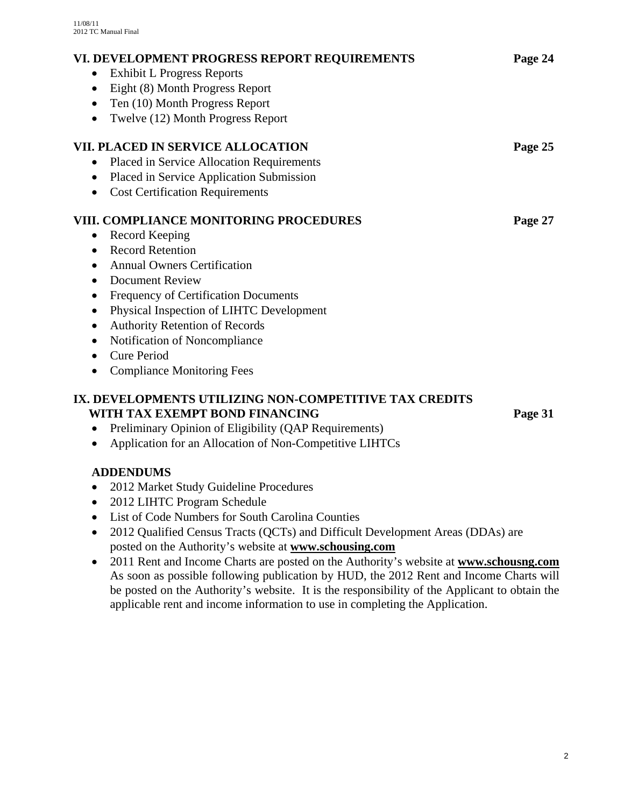| VI. DEVELOPMENT PROGRESS REPORT REQUIREMENTS                                                  | Page 24 |
|-----------------------------------------------------------------------------------------------|---------|
| <b>Exhibit L Progress Reports</b><br>$\bullet$                                                |         |
| Eight (8) Month Progress Report<br>$\bullet$                                                  |         |
| Ten (10) Month Progress Report                                                                |         |
| Twelve (12) Month Progress Report<br>$\bullet$                                                |         |
| VII. PLACED IN SERVICE ALLOCATION                                                             | Page 25 |
| Placed in Service Allocation Requirements                                                     |         |
| Placed in Service Application Submission                                                      |         |
| <b>Cost Certification Requirements</b><br>$\bullet$                                           |         |
|                                                                                               |         |
| VIII. COMPLIANCE MONITORING PROCEDURES                                                        | Page 27 |
| Record Keeping<br>$\bullet$                                                                   |         |
| <b>Record Retention</b><br>$\bullet$                                                          |         |
| <b>Annual Owners Certification</b><br>$\bullet$                                               |         |
| <b>Document Review</b><br>$\bullet$                                                           |         |
| $\bullet$                                                                                     |         |
| Frequency of Certification Documents<br>Physical Inspection of LIHTC Development<br>$\bullet$ |         |
| <b>Authority Retention of Records</b>                                                         |         |
| Notification of Noncompliance<br>$\bullet$                                                    |         |
| <b>Cure Period</b><br>$\bullet$                                                               |         |

# **IX. DEVELOPMENTS UTILIZING NON-COMPETITIVE TAX CREDITS WITH TAX EXEMPT BOND FINANCING Page 31**

- Preliminary Opinion of Eligibility (QAP Requirements)
- Application for an Allocation of Non-Competitive LIHTCs

# **ADDENDUMS**

- 2012 Market Study Guideline Procedures
- 2012 LIHTC Program Schedule
- List of Code Numbers for South Carolina Counties
- 2012 Qualified Census Tracts (QCTs) and Difficult Development Areas (DDAs) are posted on the Authority's website at **www.schousing.com**
- 2011 Rent and Income Charts are posted on the Authority's website at **www.schousng.com** As soon as possible following publication by HUD, the 2012 Rent and Income Charts will be posted on the Authority's website. It is the responsibility of the Applicant to obtain the applicable rent and income information to use in completing the Application.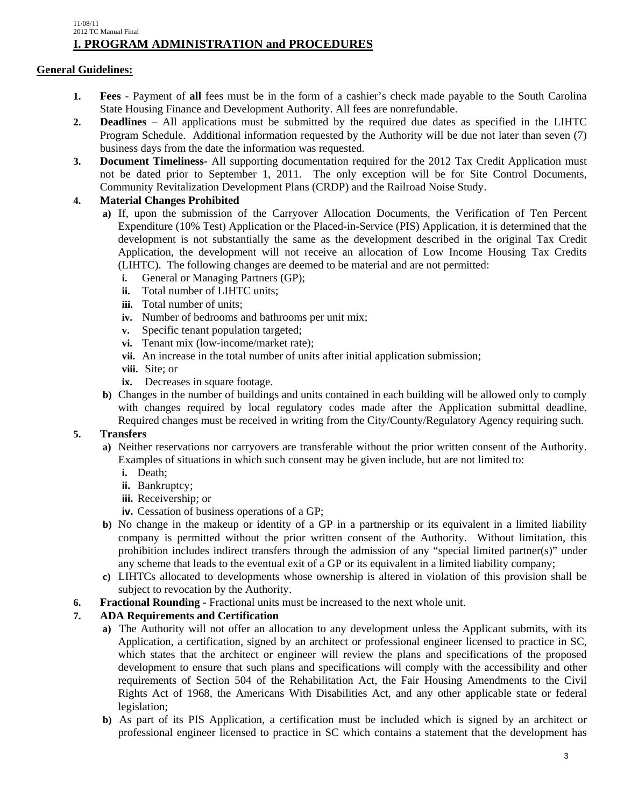#### 11/08/11 2012 TC Manual Final **I. PROGRAM ADMINISTRATION and PROCEDURES**

## **General Guidelines:**

- **1. Fees** Payment of **all** fees must be in the form of a cashier's check made payable to the South Carolina State Housing Finance and Development Authority. All fees are nonrefundable.
- **2. Deadlines** All applications must be submitted by the required due dates as specified in the LIHTC Program Schedule. Additional information requested by the Authority will be due not later than seven (7) business days from the date the information was requested.
- **3. Document Timeliness-** All supporting documentation required for the 2012 Tax Credit Application must not be dated prior to September 1, 2011. The only exception will be for Site Control Documents, Community Revitalization Development Plans (CRDP) and the Railroad Noise Study.

## **4. Material Changes Prohibited**

- **a)** If, upon the submission of the Carryover Allocation Documents, the Verification of Ten Percent Expenditure (10% Test) Application or the Placed-in-Service (PIS) Application, it is determined that the development is not substantially the same as the development described in the original Tax Credit Application, the development will not receive an allocation of Low Income Housing Tax Credits (LIHTC). The following changes are deemed to be material and are not permitted:
	- **i.** General or Managing Partners (GP);
	- **ii.** Total number of LIHTC units;
	- **iii.** Total number of units;
	- **iv.** Number of bedrooms and bathrooms per unit mix;
	- **v.** Specific tenant population targeted;
	- **vi.** Tenant mix (low-income/market rate);
	- **vii.** An increase in the total number of units after initial application submission;
	- **viii.** Site; or
	- **ix.** Decreases in square footage.
- **b)** Changes in the number of buildings and units contained in each building will be allowed only to comply with changes required by local regulatory codes made after the Application submittal deadline. Required changes must be received in writing from the City/County/Regulatory Agency requiring such.

## **5. Transfers**

- **a)** Neither reservations nor carryovers are transferable without the prior written consent of the Authority. Examples of situations in which such consent may be given include, but are not limited to:
	- **i.** Death;
	- **ii.** Bankruptcy;
	- **iii.** Receivership; or
	- **iv.** Cessation of business operations of a GP;
- **b**) No change in the makeup or identity of a GP in a partnership or its equivalent in a limited liability company is permitted without the prior written consent of the Authority. Without limitation, this prohibition includes indirect transfers through the admission of any "special limited partner(s)" under any scheme that leads to the eventual exit of a GP or its equivalent in a limited liability company;
- **c)** LIHTCs allocated to developments whose ownership is altered in violation of this provision shall be subject to revocation by the Authority.
- **6. Fractional Rounding** Fractional units must be increased to the next whole unit.

## **7. ADA Requirements and Certification**

- **a)** The Authority will not offer an allocation to any development unless the Applicant submits, with its Application, a certification, signed by an architect or professional engineer licensed to practice in SC, which states that the architect or engineer will review the plans and specifications of the proposed development to ensure that such plans and specifications will comply with the accessibility and other requirements of Section 504 of the Rehabilitation Act, the Fair Housing Amendments to the Civil Rights Act of 1968, the Americans With Disabilities Act, and any other applicable state or federal legislation;
- **b)** As part of its PIS Application, a certification must be included which is signed by an architect or professional engineer licensed to practice in SC which contains a statement that the development has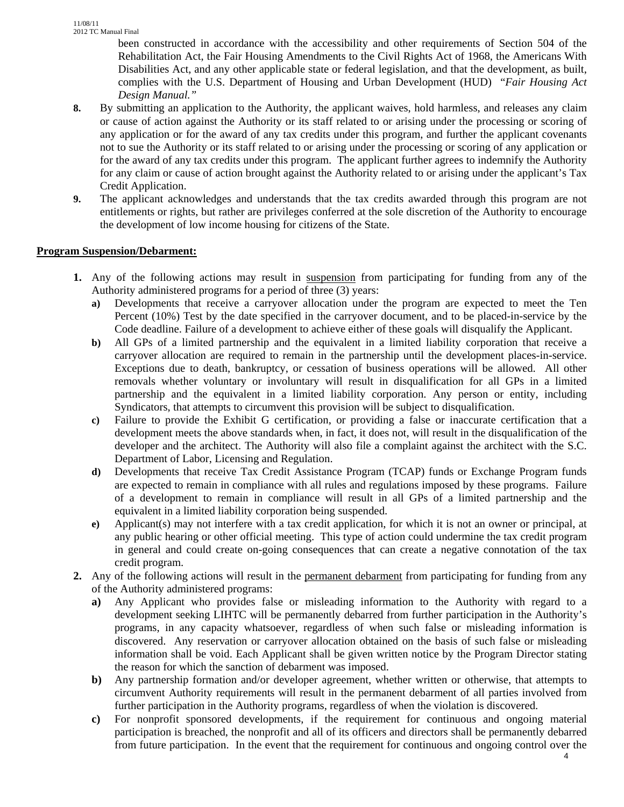been constructed in accordance with the accessibility and other requirements of Section 504 of the Rehabilitation Act, the Fair Housing Amendments to the Civil Rights Act of 1968, the Americans With Disabilities Act, and any other applicable state or federal legislation, and that the development, as built, complies with the U.S. Department of Housing and Urban Development (HUD) "*Fair Housing Act Design Manual."*

- **8.** By submitting an application to the Authority, the applicant waives, hold harmless, and releases any claim or cause of action against the Authority or its staff related to or arising under the processing or scoring of any application or for the award of any tax credits under this program, and further the applicant covenants not to sue the Authority or its staff related to or arising under the processing or scoring of any application or for the award of any tax credits under this program. The applicant further agrees to indemnify the Authority for any claim or cause of action brought against the Authority related to or arising under the applicant's Tax Credit Application.
- **9.** The applicant acknowledges and understands that the tax credits awarded through this program are not entitlements or rights, but rather are privileges conferred at the sole discretion of the Authority to encourage the development of low income housing for citizens of the State.

## **Program Suspension/Debarment:**

- **1.** Any of the following actions may result in suspension from participating for funding from any of the Authority administered programs for a period of three (3) years:
	- **a)** Developments that receive a carryover allocation under the program are expected to meet the Ten Percent (10%) Test by the date specified in the carryover document, and to be placed-in-service by the Code deadline. Failure of a development to achieve either of these goals will disqualify the Applicant.
	- **b)** All GPs of a limited partnership and the equivalent in a limited liability corporation that receive a carryover allocation are required to remain in the partnership until the development places-in-service. Exceptions due to death, bankruptcy, or cessation of business operations will be allowed. All other removals whether voluntary or involuntary will result in disqualification for all GPs in a limited partnership and the equivalent in a limited liability corporation. Any person or entity, including Syndicators, that attempts to circumvent this provision will be subject to disqualification.
	- **c)** Failure to provide the Exhibit G certification, or providing a false or inaccurate certification that a development meets the above standards when, in fact, it does not, will result in the disqualification of the developer and the architect. The Authority will also file a complaint against the architect with the S.C. Department of Labor, Licensing and Regulation.
	- **d)** Developments that receive Tax Credit Assistance Program (TCAP) funds or Exchange Program funds are expected to remain in compliance with all rules and regulations imposed by these programs. Failure of a development to remain in compliance will result in all GPs of a limited partnership and the equivalent in a limited liability corporation being suspended.
	- **e)** Applicant(s) may not interfere with a tax credit application, for which it is not an owner or principal, at any public hearing or other official meeting. This type of action could undermine the tax credit program in general and could create on-going consequences that can create a negative connotation of the tax credit program.
- **2.** Any of the following actions will result in the permanent debarment from participating for funding from any of the Authority administered programs:
	- **a)** Any Applicant who provides false or misleading information to the Authority with regard to a development seeking LIHTC will be permanently debarred from further participation in the Authority's programs, in any capacity whatsoever, regardless of when such false or misleading information is discovered. Any reservation or carryover allocation obtained on the basis of such false or misleading information shall be void. Each Applicant shall be given written notice by the Program Director stating the reason for which the sanction of debarment was imposed.
	- **b)** Any partnership formation and/or developer agreement, whether written or otherwise, that attempts to circumvent Authority requirements will result in the permanent debarment of all parties involved from further participation in the Authority programs, regardless of when the violation is discovered.
	- **c)** For nonprofit sponsored developments, if the requirement for continuous and ongoing material participation is breached, the nonprofit and all of its officers and directors shall be permanently debarred from future participation. In the event that the requirement for continuous and ongoing control over the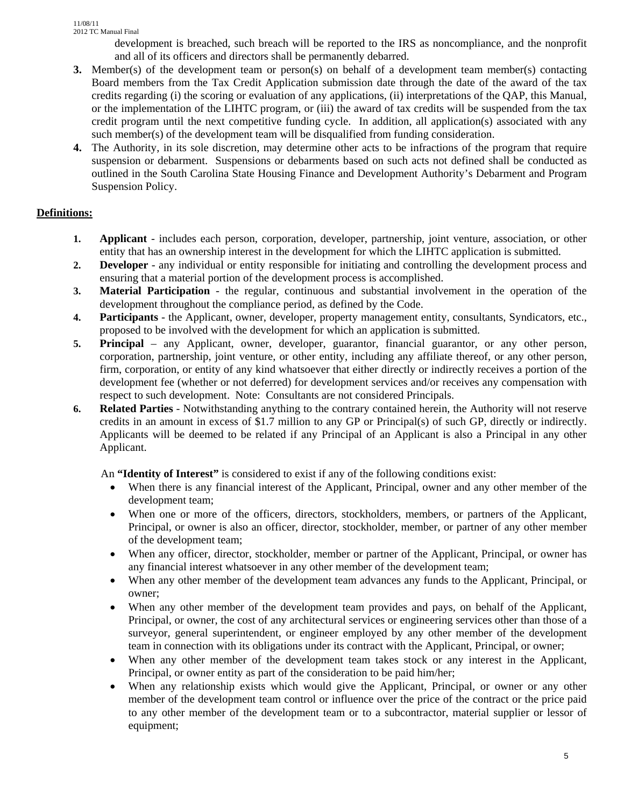development is breached, such breach will be reported to the IRS as noncompliance, and the nonprofit and all of its officers and directors shall be permanently debarred.

- **3.** Member(s) of the development team or person(s) on behalf of a development team member(s) contacting Board members from the Tax Credit Application submission date through the date of the award of the tax credits regarding (i) the scoring or evaluation of any applications, (ii) interpretations of the QAP, this Manual, or the implementation of the LIHTC program, or (iii) the award of tax credits will be suspended from the tax credit program until the next competitive funding cycle. In addition, all application(s) associated with any such member(s) of the development team will be disqualified from funding consideration.
- **4.** The Authority, in its sole discretion, may determine other acts to be infractions of the program that require suspension or debarment. Suspensions or debarments based on such acts not defined shall be conducted as outlined in the South Carolina State Housing Finance and Development Authority's Debarment and Program Suspension Policy.

# **Definitions:**

- **1. Applicant** includes each person, corporation, developer, partnership, joint venture, association, or other entity that has an ownership interest in the development for which the LIHTC application is submitted.
- **2. Developer** any individual or entity responsible for initiating and controlling the development process and ensuring that a material portion of the development process is accomplished.
- **3. Material Participation**  the regular, continuous and substantial involvement in the operation of the development throughout the compliance period, as defined by the Code.
- **4. Participants** the Applicant, owner, developer, property management entity, consultants, Syndicators, etc., proposed to be involved with the development for which an application is submitted.
- **5. Principal** any Applicant, owner, developer, guarantor, financial guarantor, or any other person, corporation, partnership, joint venture, or other entity, including any affiliate thereof, or any other person, firm, corporation, or entity of any kind whatsoever that either directly or indirectly receives a portion of the development fee (whether or not deferred) for development services and/or receives any compensation with respect to such development. Note: Consultants are not considered Principals.
- **6. Related Parties** Notwithstanding anything to the contrary contained herein, the Authority will not reserve credits in an amount in excess of \$1.7 million to any GP or Principal(s) of such GP, directly or indirectly. Applicants will be deemed to be related if any Principal of an Applicant is also a Principal in any other Applicant.

An **"Identity of Interest"** is considered to exist if any of the following conditions exist:

- When there is any financial interest of the Applicant, Principal, owner and any other member of the development team;
- When one or more of the officers, directors, stockholders, members, or partners of the Applicant, Principal, or owner is also an officer, director, stockholder, member, or partner of any other member of the development team;
- When any officer, director, stockholder, member or partner of the Applicant, Principal, or owner has any financial interest whatsoever in any other member of the development team;
- When any other member of the development team advances any funds to the Applicant, Principal, or owner;
- When any other member of the development team provides and pays, on behalf of the Applicant, Principal, or owner, the cost of any architectural services or engineering services other than those of a surveyor, general superintendent, or engineer employed by any other member of the development team in connection with its obligations under its contract with the Applicant, Principal, or owner;
- When any other member of the development team takes stock or any interest in the Applicant, Principal, or owner entity as part of the consideration to be paid him/her;
- When any relationship exists which would give the Applicant, Principal, or owner or any other member of the development team control or influence over the price of the contract or the price paid to any other member of the development team or to a subcontractor, material supplier or lessor of equipment;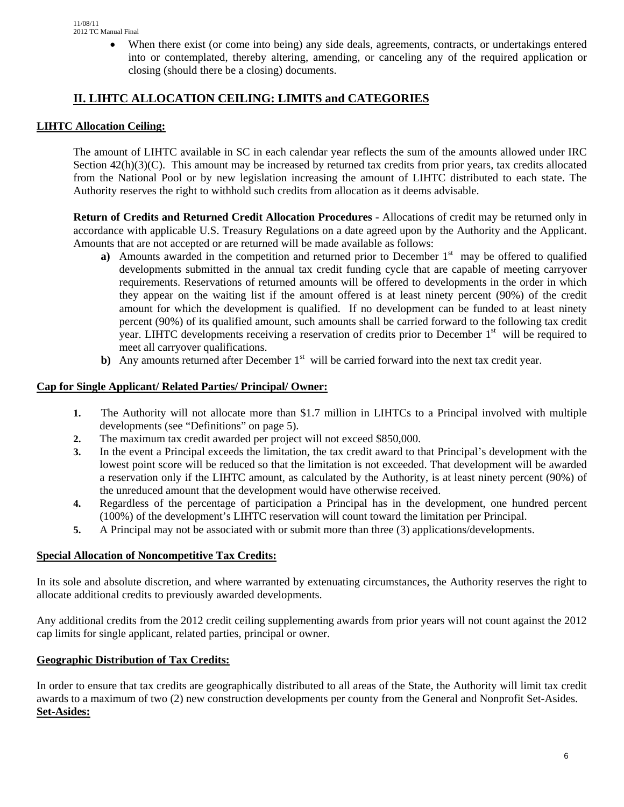• When there exist (or come into being) any side deals, agreements, contracts, or undertakings entered into or contemplated, thereby altering, amending, or canceling any of the required application or closing (should there be a closing) documents.

# **II. LIHTC ALLOCATION CEILING: LIMITS and CATEGORIES**

## **LIHTC Allocation Ceiling:**

The amount of LIHTC available in SC in each calendar year reflects the sum of the amounts allowed under IRC Section  $42(h)(3)(C)$ . This amount may be increased by returned tax credits from prior years, tax credits allocated from the National Pool or by new legislation increasing the amount of LIHTC distributed to each state. The Authority reserves the right to withhold such credits from allocation as it deems advisable.

**Return of Credits and Returned Credit Allocation Procedures** - Allocations of credit may be returned only in accordance with applicable U.S. Treasury Regulations on a date agreed upon by the Authority and the Applicant. Amounts that are not accepted or are returned will be made available as follows:

- **a**) Amounts awarded in the competition and returned prior to December  $1<sup>st</sup>$  may be offered to qualified developments submitted in the annual tax credit funding cycle that are capable of meeting carryover requirements. Reservations of returned amounts will be offered to developments in the order in which they appear on the waiting list if the amount offered is at least ninety percent (90%) of the credit amount for which the development is qualified. If no development can be funded to at least ninety percent (90%) of its qualified amount, such amounts shall be carried forward to the following tax credit year. LIHTC developments receiving a reservation of credits prior to December  $1<sup>st</sup>$  will be required to meet all carryover qualifications.
- **b**) Any amounts returned after December 1<sup>st</sup> will be carried forward into the next tax credit year.

#### **Cap for Single Applicant/ Related Parties/ Principal/ Owner:**

- **1.** The Authority will not allocate more than \$1.7 million in LIHTCs to a Principal involved with multiple developments (see "Definitions" on page 5).
- **2.** The maximum tax credit awarded per project will not exceed \$850,000.
- **3.** In the event a Principal exceeds the limitation, the tax credit award to that Principal's development with the lowest point score will be reduced so that the limitation is not exceeded. That development will be awarded a reservation only if the LIHTC amount, as calculated by the Authority, is at least ninety percent (90%) of the unreduced amount that the development would have otherwise received.
- **4.** Regardless of the percentage of participation a Principal has in the development, one hundred percent (100%) of the development's LIHTC reservation will count toward the limitation per Principal.
- **5.** A Principal may not be associated with or submit more than three (3) applications/developments.

## **Special Allocation of Noncompetitive Tax Credits:**

In its sole and absolute discretion, and where warranted by extenuating circumstances, the Authority reserves the right to allocate additional credits to previously awarded developments.

Any additional credits from the 2012 credit ceiling supplementing awards from prior years will not count against the 2012 cap limits for single applicant, related parties, principal or owner.

## **Geographic Distribution of Tax Credits:**

In order to ensure that tax credits are geographically distributed to all areas of the State, the Authority will limit tax credit awards to a maximum of two (2) new construction developments per county from the General and Nonprofit Set-Asides. **Set-Asides:**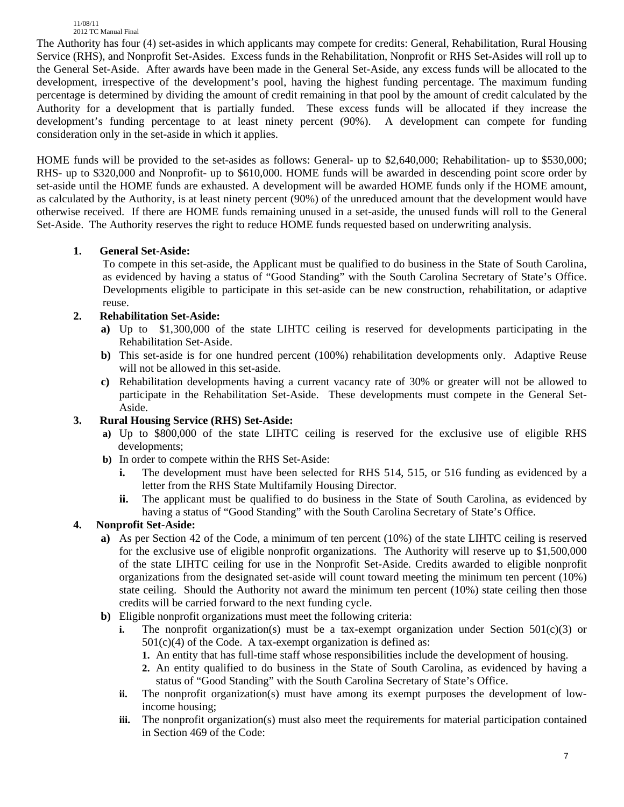The Authority has four (4) set-asides in which applicants may compete for credits: General, Rehabilitation, Rural Housing Service (RHS), and Nonprofit Set-Asides. Excess funds in the Rehabilitation, Nonprofit or RHS Set-Asides will roll up to the General Set-Aside. After awards have been made in the General Set-Aside, any excess funds will be allocated to the development, irrespective of the development's pool, having the highest funding percentage. The maximum funding percentage is determined by dividing the amount of credit remaining in that pool by the amount of credit calculated by the Authority for a development that is partially funded. These excess funds will be allocated if they increase the development's funding percentage to at least ninety percent (90%). A development can compete for funding consideration only in the set-aside in which it applies.

HOME funds will be provided to the set-asides as follows: General- up to \$2,640,000; Rehabilitation- up to \$530,000; RHS- up to \$320,000 and Nonprofit- up to \$610,000. HOME funds will be awarded in descending point score order by set-aside until the HOME funds are exhausted. A development will be awarded HOME funds only if the HOME amount, as calculated by the Authority, is at least ninety percent (90%) of the unreduced amount that the development would have otherwise received. If there are HOME funds remaining unused in a set-aside, the unused funds will roll to the General Set-Aside. The Authority reserves the right to reduce HOME funds requested based on underwriting analysis.

## **1. General Set-Aside:**

To compete in this set-aside, the Applicant must be qualified to do business in the State of South Carolina, as evidenced by having a status of "Good Standing" with the South Carolina Secretary of State's Office. Developments eligible to participate in this set-aside can be new construction, rehabilitation, or adaptive reuse.

## **2. Rehabilitation Set-Aside:**

- **a)** Up to \$1,300,000 of the state LIHTC ceiling is reserved for developments participating in the Rehabilitation Set-Aside.
- **b)** This set-aside is for one hundred percent (100%) rehabilitation developments only. Adaptive Reuse will not be allowed in this set-aside.
- **c)** Rehabilitation developments having a current vacancy rate of 30% or greater will not be allowed to participate in the Rehabilitation Set-Aside. These developments must compete in the General Set-Aside.

## **3. Rural Housing Service (RHS) Set-Aside:**

- **a)** Up to \$800,000 of the state LIHTC ceiling is reserved for the exclusive use of eligible RHS developments;
- **b)** In order to compete within the RHS Set-Aside:
	- **i.** The development must have been selected for RHS 514, 515, or 516 funding as evidenced by a letter from the RHS State Multifamily Housing Director.
	- **ii.** The applicant must be qualified to do business in the State of South Carolina, as evidenced by having a status of "Good Standing" with the South Carolina Secretary of State's Office.

# **4. Nonprofit Set-Aside:**

- **a)** As per Section 42 of the Code, a minimum of ten percent (10%) of the state LIHTC ceiling is reserved for the exclusive use of eligible nonprofit organizations. The Authority will reserve up to \$1,500,000 of the state LIHTC ceiling for use in the Nonprofit Set-Aside. Credits awarded to eligible nonprofit organizations from the designated set-aside will count toward meeting the minimum ten percent (10%) state ceiling. Should the Authority not award the minimum ten percent (10%) state ceiling then those credits will be carried forward to the next funding cycle.
- **b)** Eligible nonprofit organizations must meet the following criteria:
	- **i.** The nonprofit organization(s) must be a tax-exempt organization under Section  $501(c)(3)$  or  $501(c)(4)$  of the Code. A tax-exempt organization is defined as:
		- **1.** An entity that has full-time staff whose responsibilities include the development of housing.
		- **2.** An entity qualified to do business in the State of South Carolina, as evidenced by having a status of "Good Standing" with the South Carolina Secretary of State's Office.
	- **ii.** The nonprofit organization(s) must have among its exempt purposes the development of lowincome housing;
	- **iii.** The nonprofit organization(s) must also meet the requirements for material participation contained in Section 469 of the Code: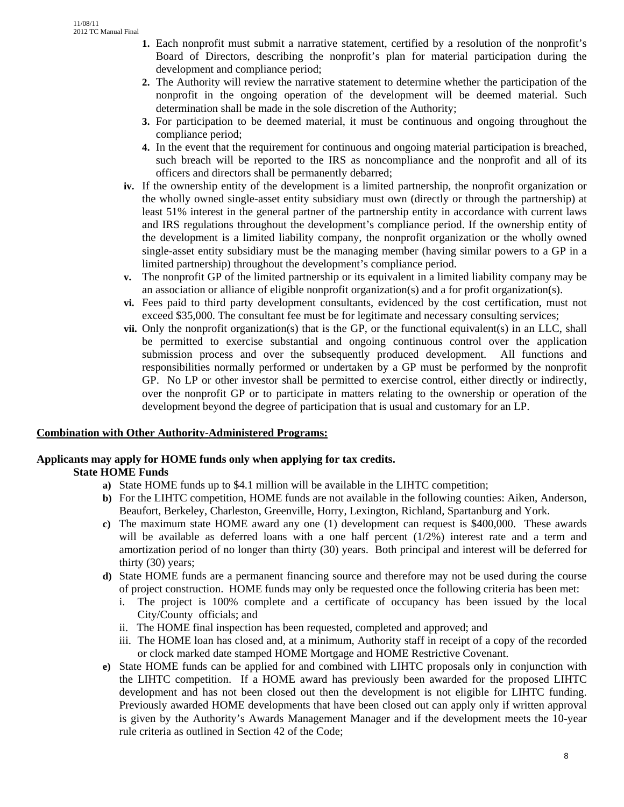- **1.** Each nonprofit must submit a narrative statement, certified by a resolution of the nonprofit's Board of Directors, describing the nonprofit's plan for material participation during the development and compliance period;
- **2.** The Authority will review the narrative statement to determine whether the participation of the nonprofit in the ongoing operation of the development will be deemed material. Such determination shall be made in the sole discretion of the Authority;
- **3.** For participation to be deemed material, it must be continuous and ongoing throughout the compliance period;
- **4.** In the event that the requirement for continuous and ongoing material participation is breached, such breach will be reported to the IRS as noncompliance and the nonprofit and all of its officers and directors shall be permanently debarred;
- **iv.** If the ownership entity of the development is a limited partnership, the nonprofit organization or the wholly owned single-asset entity subsidiary must own (directly or through the partnership) at least 51% interest in the general partner of the partnership entity in accordance with current laws and IRS regulations throughout the development's compliance period. If the ownership entity of the development is a limited liability company, the nonprofit organization or the wholly owned single-asset entity subsidiary must be the managing member (having similar powers to a GP in a limited partnership) throughout the development's compliance period.
- **v.** The nonprofit GP of the limited partnership or its equivalent in a limited liability company may be an association or alliance of eligible nonprofit organization(s) and a for profit organization(s).
- **vi.** Fees paid to third party development consultants, evidenced by the cost certification, must not exceed \$35,000. The consultant fee must be for legitimate and necessary consulting services;
- **vii.** Only the nonprofit organization(s) that is the GP, or the functional equivalent(s) in an LLC, shall be permitted to exercise substantial and ongoing continuous control over the application submission process and over the subsequently produced development. All functions and responsibilities normally performed or undertaken by a GP must be performed by the nonprofit GP. No LP or other investor shall be permitted to exercise control, either directly or indirectly, over the nonprofit GP or to participate in matters relating to the ownership or operation of the development beyond the degree of participation that is usual and customary for an LP.

#### **Combination with Other Authority-Administered Programs:**

# **Applicants may apply for HOME funds only when applying for tax credits.**

## **State HOME Funds**

- **a)** State HOME funds up to \$4.1 million will be available in the LIHTC competition;
- **b)** For the LIHTC competition, HOME funds are not available in the following counties: Aiken, Anderson, Beaufort, Berkeley, Charleston, Greenville, Horry, Lexington, Richland, Spartanburg and York.
- **c)** The maximum state HOME award any one (1) development can request is \$400,000. These awards will be available as deferred loans with a one half percent  $(1/2%)$  interest rate and a term and amortization period of no longer than thirty (30) years. Both principal and interest will be deferred for thirty (30) years;
- **d)** State HOME funds are a permanent financing source and therefore may not be used during the course of project construction. HOME funds may only be requested once the following criteria has been met:
	- i. The project is 100% complete and a certificate of occupancy has been issued by the local City/County officials; and
	- ii. The HOME final inspection has been requested, completed and approved; and
	- iii. The HOME loan has closed and, at a minimum, Authority staff in receipt of a copy of the recorded or clock marked date stamped HOME Mortgage and HOME Restrictive Covenant.
- **e)** State HOME funds can be applied for and combined with LIHTC proposals only in conjunction with the LIHTC competition. If a HOME award has previously been awarded for the proposed LIHTC development and has not been closed out then the development is not eligible for LIHTC funding. Previously awarded HOME developments that have been closed out can apply only if written approval is given by the Authority's Awards Management Manager and if the development meets the 10-year rule criteria as outlined in Section 42 of the Code;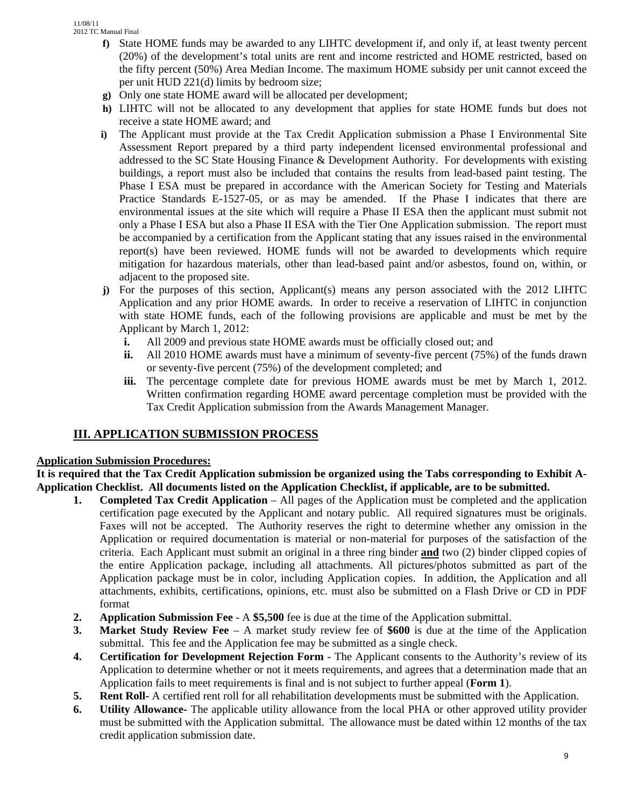- **f)** State HOME funds may be awarded to any LIHTC development if, and only if, at least twenty percent (20%) of the development's total units are rent and income restricted and HOME restricted, based on the fifty percent (50%) Area Median Income. The maximum HOME subsidy per unit cannot exceed the per unit HUD 221(d) limits by bedroom size;
- **g)** Only one state HOME award will be allocated per development;
- **h)** LIHTC will not be allocated to any development that applies for state HOME funds but does not receive a state HOME award; and
- **i)** The Applicant must provide at the Tax Credit Application submission a Phase I Environmental Site Assessment Report prepared by a third party independent licensed environmental professional and addressed to the SC State Housing Finance & Development Authority. For developments with existing buildings, a report must also be included that contains the results from lead-based paint testing. The Phase I ESA must be prepared in accordance with the American Society for Testing and Materials Practice Standards E-1527-05, or as may be amended. If the Phase I indicates that there are environmental issues at the site which will require a Phase II ESA then the applicant must submit not only a Phase I ESA but also a Phase II ESA with the Tier One Application submission. The report must be accompanied by a certification from the Applicant stating that any issues raised in the environmental report(s) have been reviewed. HOME funds will not be awarded to developments which require mitigation for hazardous materials, other than lead-based paint and/or asbestos, found on, within, or adjacent to the proposed site.
- **j**) For the purposes of this section, Applicant(s) means any person associated with the 2012 LIHTC Application and any prior HOME awards. In order to receive a reservation of LIHTC in conjunction with state HOME funds, each of the following provisions are applicable and must be met by the Applicant by March 1, 2012:
	- **i.** All 2009 and previous state HOME awards must be officially closed out; and
	- **ii.** All 2010 HOME awards must have a minimum of seventy-five percent (75%) of the funds drawn or seventy-five percent (75%) of the development completed; and
	- **iii.** The percentage complete date for previous HOME awards must be met by March 1, 2012. Written confirmation regarding HOME award percentage completion must be provided with the Tax Credit Application submission from the Awards Management Manager.

# **III. APPLICATION SUBMISSION PROCESS**

## **Application Submission Procedures:**

**It is required that the Tax Credit Application submission be organized using the Tabs corresponding to Exhibit A-Application Checklist. All documents listed on the Application Checklist, if applicable, are to be submitted.** 

- **1. Completed Tax Credit Application** All pages of the Application must be completed and the application certification page executed by the Applicant and notary public. All required signatures must be originals. Faxes will not be accepted. The Authority reserves the right to determine whether any omission in the Application or required documentation is material or non-material for purposes of the satisfaction of the criteria. Each Applicant must submit an original in a three ring binder **and** two (2) binder clipped copies of the entire Application package, including all attachments. All pictures/photos submitted as part of the Application package must be in color, including Application copies. In addition, the Application and all attachments, exhibits, certifications, opinions, etc. must also be submitted on a Flash Drive or CD in PDF format
- **2. Application Submission Fee**  A **\$5,500** fee is due at the time of the Application submittal.
- **3. Market Study Review Fee** A market study review fee of **\$600** is due at the time of the Application submittal. This fee and the Application fee may be submitted as a single check.
- **4. Certification for Development Rejection Form** The Applicant consents to the Authority's review of its Application to determine whether or not it meets requirements, and agrees that a determination made that an Application fails to meet requirements is final and is not subject to further appeal (**Form 1**).
- **5. Rent Roll-** A certified rent roll for all rehabilitation developments must be submitted with the Application.
- **6. Utility Allowance-** The applicable utility allowance from the local PHA or other approved utility provider must be submitted with the Application submittal. The allowance must be dated within 12 months of the tax credit application submission date.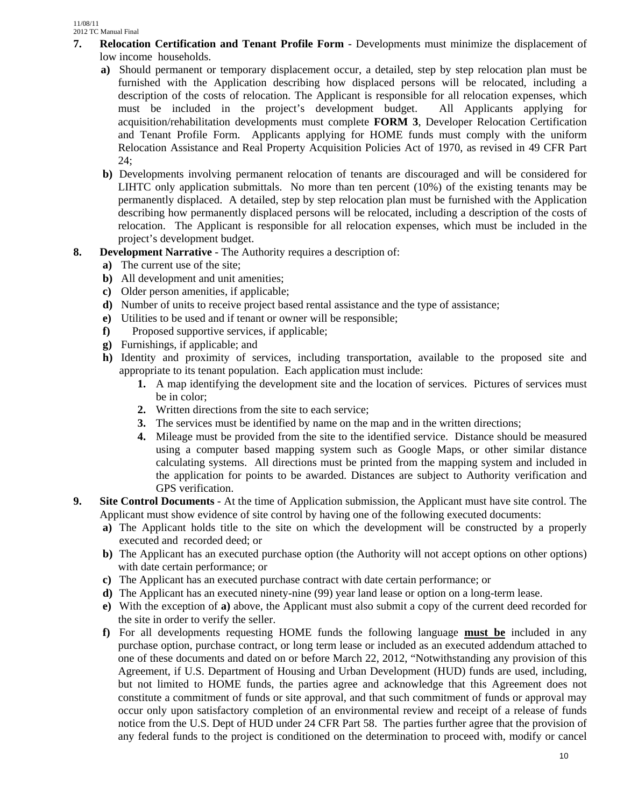- **7. Relocation Certification and Tenant Profile Form** Developments must minimize the displacement of low income households.
	- **a**) Should permanent or temporary displacement occur, a detailed, step by step relocation plan must be furnished with the Application describing how displaced persons will be relocated, including a description of the costs of relocation. The Applicant is responsible for all relocation expenses, which must be included in the project's development budget. All Applicants applying for acquisition/rehabilitation developments must complete **FORM 3**, Developer Relocation Certification and Tenant Profile Form. Applicants applying for HOME funds must comply with the uniform Relocation Assistance and Real Property Acquisition Policies Act of 1970, as revised in 49 CFR Part 24;
	- **b)** Developments involving permanent relocation of tenants are discouraged and will be considered for LIHTC only application submittals. No more than ten percent (10%) of the existing tenants may be permanently displaced. A detailed, step by step relocation plan must be furnished with the Application describing how permanently displaced persons will be relocated, including a description of the costs of relocation. The Applicant is responsible for all relocation expenses, which must be included in the project's development budget.
- **8. Development Narrative** The Authority requires a description of:
	- **a)** The current use of the site;
	- **b)** All development and unit amenities;
	- **c)** Older person amenities, if applicable;
	- **d)** Number of units to receive project based rental assistance and the type of assistance;
	- **e)** Utilities to be used and if tenant or owner will be responsible;
	- **f)** Proposed supportive services, if applicable;
	- **g)** Furnishings, if applicable; and
	- **h)** Identity and proximity of services, including transportation, available to the proposed site and appropriate to its tenant population. Each application must include:
		- **1.** A map identifying the development site and the location of services. Pictures of services must be in color;
		- **2.** Written directions from the site to each service;
		- **3.** The services must be identified by name on the map and in the written directions;
		- **4.** Mileage must be provided from the site to the identified service. Distance should be measured using a computer based mapping system such as Google Maps, or other similar distance calculating systems. All directions must be printed from the mapping system and included in the application for points to be awarded. Distances are subject to Authority verification and GPS verification.
- **9. Site Control Documents** At the time of Application submission, the Applicant must have site control. The Applicant must show evidence of site control by having one of the following executed documents:
	- **a)** The Applicant holds title to the site on which the development will be constructed by a properly executed and recorded deed; or
	- **b)** The Applicant has an executed purchase option (the Authority will not accept options on other options) with date certain performance; or
	- **c)** The Applicant has an executed purchase contract with date certain performance; or
	- **d**) The Applicant has an executed ninety-nine (99) year land lease or option on a long-term lease.
	- **e)** With the exception of **a)** above, the Applicant must also submit a copy of the current deed recorded for the site in order to verify the seller.
	- **f)** For all developments requesting HOME funds the following language **must be** included in any purchase option, purchase contract, or long term lease or included as an executed addendum attached to one of these documents and dated on or before March 22, 2012, "Notwithstanding any provision of this Agreement, if U.S. Department of Housing and Urban Development (HUD) funds are used, including, but not limited to HOME funds, the parties agree and acknowledge that this Agreement does not constitute a commitment of funds or site approval, and that such commitment of funds or approval may occur only upon satisfactory completion of an environmental review and receipt of a release of funds notice from the U.S. Dept of HUD under 24 CFR Part 58. The parties further agree that the provision of any federal funds to the project is conditioned on the determination to proceed with, modify or cancel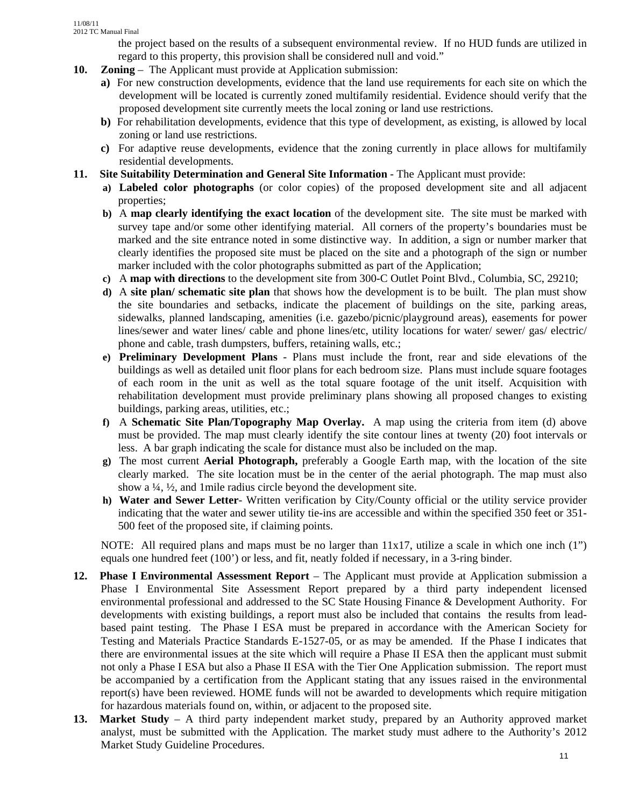the project based on the results of a subsequent environmental review. If no HUD funds are utilized in regard to this property, this provision shall be considered null and void."

- **10. Zoning**  The Applicant must provide at Application submission:
	- **a)** For new construction developments, evidence that the land use requirements for each site on which the development will be located is currently zoned multifamily residential. Evidence should verify that the proposed development site currently meets the local zoning or land use restrictions.
	- **b)** For rehabilitation developments, evidence that this type of development, as existing, is allowed by local zoning or land use restrictions.
	- **c)** For adaptive reuse developments, evidence that the zoning currently in place allows for multifamily residential developments.
- **11. Site Suitability Determination and General Site Information** The Applicant must provide:
	- **a) Labeled color photographs** (or color copies) of the proposed development site and all adjacent properties;
	- **b)** A **map clearly identifying the exact location** of the development site. The site must be marked with survey tape and/or some other identifying material. All corners of the property's boundaries must be marked and the site entrance noted in some distinctive way. In addition, a sign or number marker that clearly identifies the proposed site must be placed on the site and a photograph of the sign or number marker included with the color photographs submitted as part of the Application;
	- **c)** A **map with directions** to the development site from 300-C Outlet Point Blvd., Columbia, SC, 29210;
	- **d)** A **site plan/ schematic site plan** that shows how the development is to be built. The plan must show the site boundaries and setbacks, indicate the placement of buildings on the site, parking areas, sidewalks, planned landscaping, amenities (i.e. gazebo/picnic/playground areas), easements for power lines/sewer and water lines/ cable and phone lines/etc, utility locations for water/ sewer/ gas/ electric/ phone and cable, trash dumpsters, buffers, retaining walls, etc.;
	- **e) Preliminary Development Plans** Plans must include the front, rear and side elevations of the buildings as well as detailed unit floor plans for each bedroom size. Plans must include square footages of each room in the unit as well as the total square footage of the unit itself. Acquisition with rehabilitation development must provide preliminary plans showing all proposed changes to existing buildings, parking areas, utilities, etc.;
	- **f)** A **Schematic Site Plan/Topography Map Overlay.** A map using the criteria from item (d) above must be provided. The map must clearly identify the site contour lines at twenty (20) foot intervals or less. A bar graph indicating the scale for distance must also be included on the map.
	- **g)** The most current **Aerial Photograph,** preferably a Google Earth map, with the location of the site clearly marked. The site location must be in the center of the aerial photograph. The map must also show a ¼, ½, and 1mile radius circle beyond the development site.
	- **h) Water and Sewer Letter** Written verification by City/County official or the utility service provider indicating that the water and sewer utility tie-ins are accessible and within the specified 350 feet or 351- 500 feet of the proposed site, if claiming points.

NOTE: All required plans and maps must be no larger than 11x17, utilize a scale in which one inch (1") equals one hundred feet (100') or less, and fit, neatly folded if necessary, in a 3-ring binder.

- **12. Phase I Environmental Assessment Report**  The Applicant must provide at Application submission a Phase I Environmental Site Assessment Report prepared by a third party independent licensed environmental professional and addressed to the SC State Housing Finance & Development Authority. For developments with existing buildings, a report must also be included that contains the results from leadbased paint testing. The Phase I ESA must be prepared in accordance with the American Society for Testing and Materials Practice Standards E-1527-05, or as may be amended. If the Phase I indicates that there are environmental issues at the site which will require a Phase II ESA then the applicant must submit not only a Phase I ESA but also a Phase II ESA with the Tier One Application submission. The report must be accompanied by a certification from the Applicant stating that any issues raised in the environmental report(s) have been reviewed. HOME funds will not be awarded to developments which require mitigation for hazardous materials found on, within, or adjacent to the proposed site.
- **13. Market Study**  A third party independent market study, prepared by an Authority approved market analyst, must be submitted with the Application. The market study must adhere to the Authority's 2012 Market Study Guideline Procedures.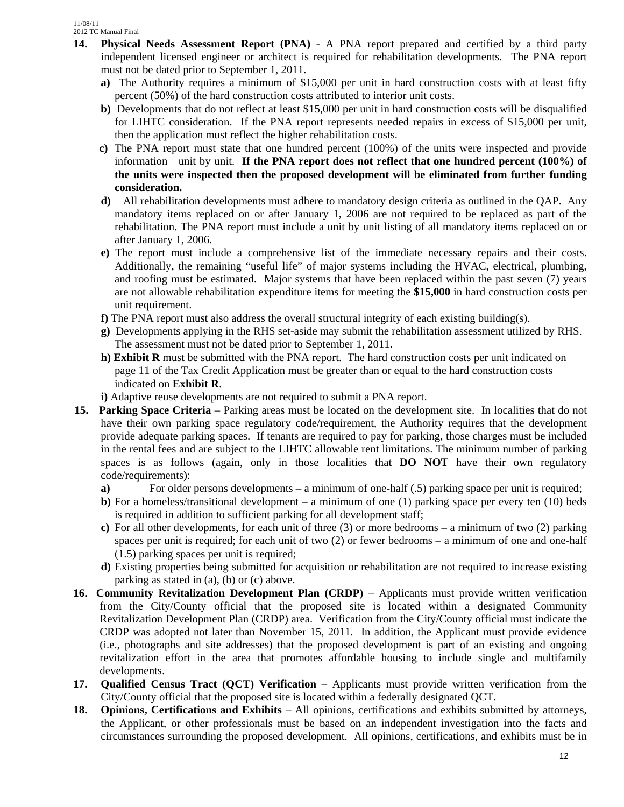- **14. Physical Needs Assessment Report (PNA)** A PNA report prepared and certified by a third party independent licensed engineer or architect is required for rehabilitation developments. The PNA report must not be dated prior to September 1, 2011.
	- **a)** The Authority requires a minimum of \$15,000 per unit in hard construction costs with at least fifty percent (50%) of the hard construction costs attributed to interior unit costs.
	- **b**) Developments that do not reflect at least \$15,000 per unit in hard construction costs will be disqualified for LIHTC consideration. If the PNA report represents needed repairs in excess of \$15,000 per unit, then the application must reflect the higher rehabilitation costs.
	- **c)** The PNA report must state that one hundred percent (100%) of the units were inspected and provide information unit by unit. **If the PNA report does not reflect that one hundred percent (100%) of the units were inspected then the proposed development will be eliminated from further funding consideration.**
	- **d)** All rehabilitation developments must adhere to mandatory design criteria as outlined in the QAP. Any mandatory items replaced on or after January 1, 2006 are not required to be replaced as part of the rehabilitation. The PNA report must include a unit by unit listing of all mandatory items replaced on or after January 1, 2006.
	- **e)** The report must include a comprehensive list of the immediate necessary repairs and their costs. Additionally, the remaining "useful life" of major systems including the HVAC, electrical, plumbing, and roofing must be estimated. Major systems that have been replaced within the past seven (7) years are not allowable rehabilitation expenditure items for meeting the **\$15,000** in hard construction costs per unit requirement.
	- **f)** The PNA report must also address the overall structural integrity of each existing building(s).
	- **g)** Developments applying in the RHS set-aside may submit the rehabilitation assessment utilized by RHS. The assessment must not be dated prior to September 1, 2011.
	- **h) Exhibit R** must be submitted with the PNA report. The hard construction costs per unit indicated on page 11 of the Tax Credit Application must be greater than or equal to the hard construction costs indicated on **Exhibit R**.
	- **i)** Adaptive reuse developments are not required to submit a PNA report.
- **15. Parking Space Criteria**  Parking areas must be located on the development site. In localities that do not have their own parking space regulatory code/requirement, the Authority requires that the development provide adequate parking spaces. If tenants are required to pay for parking, those charges must be included in the rental fees and are subject to the LIHTC allowable rent limitations. The minimum number of parking spaces is as follows (again, only in those localities that **DO NOT** have their own regulatory code/requirements):
	- **a)** For older persons developments a minimum of one-half (.5) parking space per unit is required;
	- **b**) For a homeless/transitional development a minimum of one (1) parking space per every ten (10) beds is required in addition to sufficient parking for all development staff;
	- **c)** For all other developments, for each unit of three (3) or more bedrooms a minimum of two (2) parking spaces per unit is required; for each unit of two (2) or fewer bedrooms – a minimum of one and one-half (1.5) parking spaces per unit is required;
	- **d)** Existing properties being submitted for acquisition or rehabilitation are not required to increase existing parking as stated in (a), (b) or (c) above.
- **16. Community Revitalization Development Plan (CRDP)** Applicants must provide written verification from the City/County official that the proposed site is located within a designated Community Revitalization Development Plan (CRDP) area. Verification from the City/County official must indicate the CRDP was adopted not later than November 15, 2011. In addition, the Applicant must provide evidence (i.e., photographs and site addresses) that the proposed development is part of an existing and ongoing revitalization effort in the area that promotes affordable housing to include single and multifamily developments.
- **17. Qualified Census Tract (QCT) Verification** Applicants must provide written verification from the City/County official that the proposed site is located within a federally designated QCT.
- **18. Opinions, Certifications and Exhibits** All opinions, certifications and exhibits submitted by attorneys, the Applicant, or other professionals must be based on an independent investigation into the facts and circumstances surrounding the proposed development. All opinions, certifications, and exhibits must be in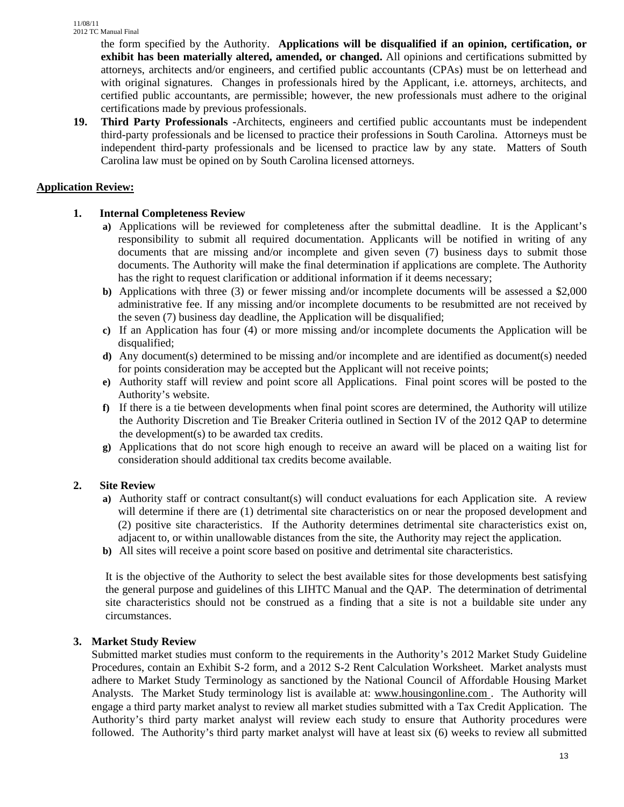the form specified by the Authority. **Applications will be disqualified if an opinion, certification, or exhibit has been materially altered, amended, or changed.** All opinions and certifications submitted by attorneys, architects and/or engineers, and certified public accountants (CPAs) must be on letterhead and with original signatures. Changes in professionals hired by the Applicant, i.e. attorneys, architects, and certified public accountants, are permissible; however, the new professionals must adhere to the original certifications made by previous professionals.

**19. Third Party Professionals -**Architects, engineers and certified public accountants must be independent third-party professionals and be licensed to practice their professions in South Carolina. Attorneys must be independent third-party professionals and be licensed to practice law by any state. Matters of South Carolina law must be opined on by South Carolina licensed attorneys.

## **Application Review:**

# **1. Internal Completeness Review**

- **a)** Applications will be reviewed for completeness after the submittal deadline. It is the Applicant's responsibility to submit all required documentation. Applicants will be notified in writing of any documents that are missing and/or incomplete and given seven (7) business days to submit those documents. The Authority will make the final determination if applications are complete. The Authority has the right to request clarification or additional information if it deems necessary;
- **b)** Applications with three (3) or fewer missing and/or incomplete documents will be assessed a \$2,000 administrative fee. If any missing and/or incomplete documents to be resubmitted are not received by the seven (7) business day deadline, the Application will be disqualified;
- **c)** If an Application has four (4) or more missing and/or incomplete documents the Application will be disqualified;
- **d)** Any document(s) determined to be missing and/or incomplete and are identified as document(s) needed for points consideration may be accepted but the Applicant will not receive points;
- **e)** Authority staff will review and point score all Applications. Final point scores will be posted to the Authority's website.
- **f)** If there is a tie between developments when final point scores are determined, the Authority will utilize the Authority Discretion and Tie Breaker Criteria outlined in Section IV of the 2012 QAP to determine the development(s) to be awarded tax credits.
- **g)** Applications that do not score high enough to receive an award will be placed on a waiting list for consideration should additional tax credits become available.

## **2. Site Review**

- **a)** Authority staff or contract consultant(s) will conduct evaluations for each Application site. A review will determine if there are (1) detrimental site characteristics on or near the proposed development and (2) positive site characteristics. If the Authority determines detrimental site characteristics exist on, adjacent to, or within unallowable distances from the site, the Authority may reject the application.
- **b)** All sites will receive a point score based on positive and detrimental site characteristics.

It is the objective of the Authority to select the best available sites for those developments best satisfying the general purpose and guidelines of this LIHTC Manual and the QAP. The determination of detrimental site characteristics should not be construed as a finding that a site is not a buildable site under any circumstances.

## **3. Market Study Review**

Submitted market studies must conform to the requirements in the Authority's 2012 Market Study Guideline Procedures, contain an Exhibit S-2 form, and a 2012 S-2 Rent Calculation Worksheet. Market analysts must adhere to Market Study Terminology as sanctioned by the National Council of Affordable Housing Market Analysts. The Market Study terminology list is available at: www.housingonline.com . The Authority will engage a third party market analyst to review all market studies submitted with a Tax Credit Application. The Authority's third party market analyst will review each study to ensure that Authority procedures were followed. The Authority's third party market analyst will have at least six (6) weeks to review all submitted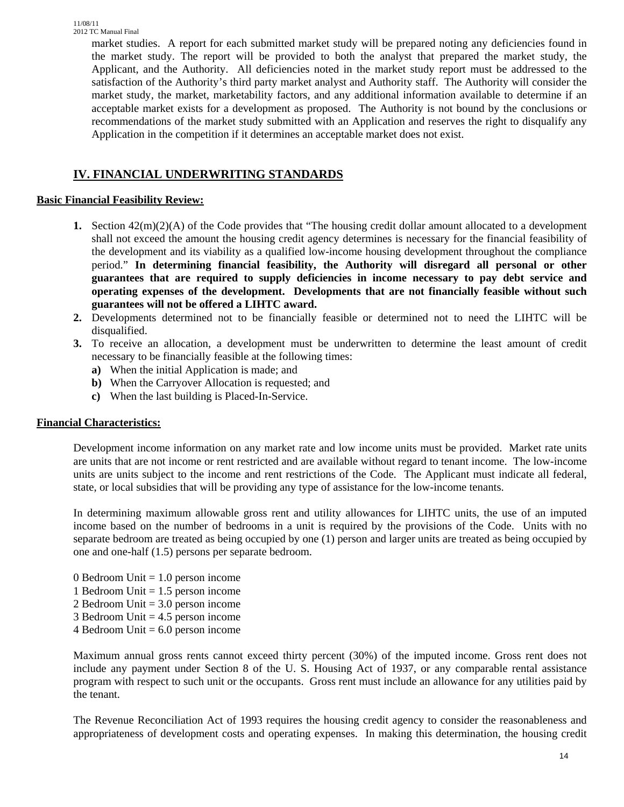market studies. A report for each submitted market study will be prepared noting any deficiencies found in the market study. The report will be provided to both the analyst that prepared the market study, the Applicant, and the Authority. All deficiencies noted in the market study report must be addressed to the satisfaction of the Authority's third party market analyst and Authority staff. The Authority will consider the market study, the market, marketability factors, and any additional information available to determine if an acceptable market exists for a development as proposed. The Authority is not bound by the conclusions or recommendations of the market study submitted with an Application and reserves the right to disqualify any Application in the competition if it determines an acceptable market does not exist.

# **IV. FINANCIAL UNDERWRITING STANDARDS**

## **Basic Financial Feasibility Review:**

- **1.** Section 42(m)(2)(A) of the Code provides that "The housing credit dollar amount allocated to a development shall not exceed the amount the housing credit agency determines is necessary for the financial feasibility of the development and its viability as a qualified low-income housing development throughout the compliance period." **In determining financial feasibility, the Authority will disregard all personal or other guarantees that are required to supply deficiencies in income necessary to pay debt service and operating expenses of the development. Developments that are not financially feasible without such guarantees will not be offered a LIHTC award.**
- **2.** Developments determined not to be financially feasible or determined not to need the LIHTC will be disqualified.
- **3.** To receive an allocation, a development must be underwritten to determine the least amount of credit necessary to be financially feasible at the following times:
	- **a)** When the initial Application is made; and
	- **b)** When the Carryover Allocation is requested; and
	- **c)** When the last building is Placed-In-Service.

# **Financial Characteristics:**

Development income information on any market rate and low income units must be provided. Market rate units are units that are not income or rent restricted and are available without regard to tenant income. The low-income units are units subject to the income and rent restrictions of the Code. The Applicant must indicate all federal, state, or local subsidies that will be providing any type of assistance for the low-income tenants.

In determining maximum allowable gross rent and utility allowances for LIHTC units, the use of an imputed income based on the number of bedrooms in a unit is required by the provisions of the Code. Units with no separate bedroom are treated as being occupied by one (1) person and larger units are treated as being occupied by one and one-half (1.5) persons per separate bedroom.

- 0 Bedroom Unit  $= 1.0$  person income
- 1 Bedroom Unit  $= 1.5$  person income
- 2 Bedroom Unit = 3.0 person income
- 3 Bedroom Unit = 4.5 person income
- $4$  Bedroom Unit  $= 6.0$  person income

Maximum annual gross rents cannot exceed thirty percent (30%) of the imputed income. Gross rent does not include any payment under Section 8 of the U. S. Housing Act of 1937, or any comparable rental assistance program with respect to such unit or the occupants. Gross rent must include an allowance for any utilities paid by the tenant.

The Revenue Reconciliation Act of 1993 requires the housing credit agency to consider the reasonableness and appropriateness of development costs and operating expenses. In making this determination, the housing credit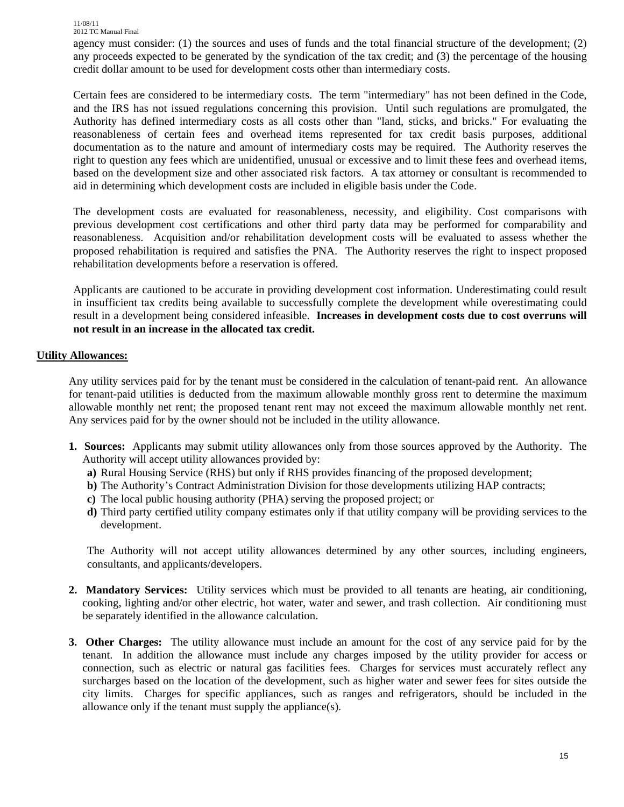agency must consider: (1) the sources and uses of funds and the total financial structure of the development; (2) any proceeds expected to be generated by the syndication of the tax credit; and (3) the percentage of the housing credit dollar amount to be used for development costs other than intermediary costs.

Certain fees are considered to be intermediary costs. The term "intermediary" has not been defined in the Code, and the IRS has not issued regulations concerning this provision. Until such regulations are promulgated, the Authority has defined intermediary costs as all costs other than "land, sticks, and bricks." For evaluating the reasonableness of certain fees and overhead items represented for tax credit basis purposes, additional documentation as to the nature and amount of intermediary costs may be required. The Authority reserves the right to question any fees which are unidentified, unusual or excessive and to limit these fees and overhead items, based on the development size and other associated risk factors. A tax attorney or consultant is recommended to aid in determining which development costs are included in eligible basis under the Code.

The development costs are evaluated for reasonableness, necessity, and eligibility. Cost comparisons with previous development cost certifications and other third party data may be performed for comparability and reasonableness. Acquisition and/or rehabilitation development costs will be evaluated to assess whether the proposed rehabilitation is required and satisfies the PNA. The Authority reserves the right to inspect proposed rehabilitation developments before a reservation is offered.

Applicants are cautioned to be accurate in providing development cost information. Underestimating could result in insufficient tax credits being available to successfully complete the development while overestimating could result in a development being considered infeasible. **Increases in development costs due to cost overruns will not result in an increase in the allocated tax credit.** 

#### **Utility Allowances:**

Any utility services paid for by the tenant must be considered in the calculation of tenant-paid rent. An allowance for tenant-paid utilities is deducted from the maximum allowable monthly gross rent to determine the maximum allowable monthly net rent; the proposed tenant rent may not exceed the maximum allowable monthly net rent. Any services paid for by the owner should not be included in the utility allowance.

- **1. Sources:** Applicants may submit utility allowances only from those sources approved by the Authority. The Authority will accept utility allowances provided by:
	- **a)** Rural Housing Service (RHS) but only if RHS provides financing of the proposed development;
	- **b**) The Authority's Contract Administration Division for those developments utilizing HAP contracts;
	- **c)** The local public housing authority (PHA) serving the proposed project; or
	- **d)** Third party certified utility company estimates only if that utility company will be providing services to the development.

The Authority will not accept utility allowances determined by any other sources, including engineers, consultants, and applicants/developers.

- **2. Mandatory Services:** Utility services which must be provided to all tenants are heating, air conditioning, cooking, lighting and/or other electric, hot water, water and sewer, and trash collection. Air conditioning must be separately identified in the allowance calculation.
- **3. Other Charges:** The utility allowance must include an amount for the cost of any service paid for by the tenant. In addition the allowance must include any charges imposed by the utility provider for access or connection, such as electric or natural gas facilities fees. Charges for services must accurately reflect any surcharges based on the location of the development, such as higher water and sewer fees for sites outside the city limits. Charges for specific appliances, such as ranges and refrigerators, should be included in the allowance only if the tenant must supply the appliance(s).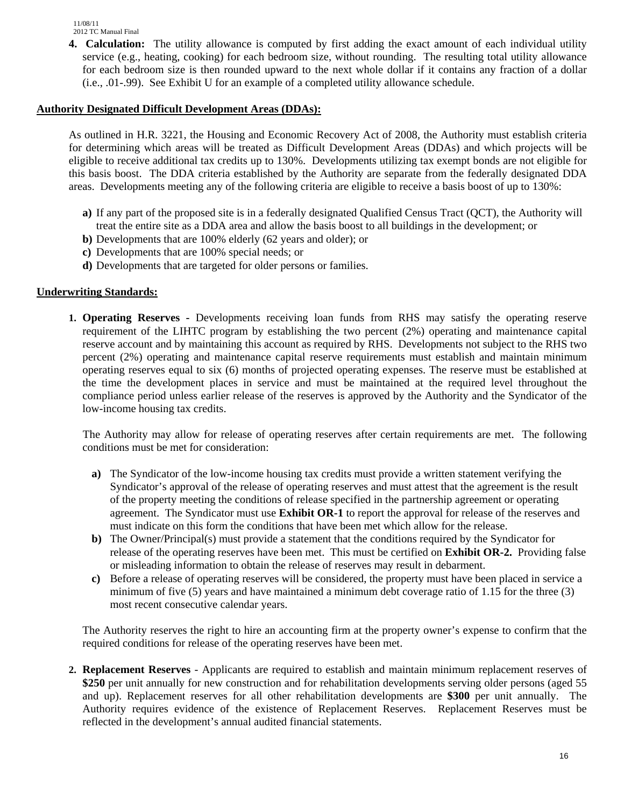**4. Calculation:** The utility allowance is computed by first adding the exact amount of each individual utility service (e.g., heating, cooking) for each bedroom size, without rounding. The resulting total utility allowance for each bedroom size is then rounded upward to the next whole dollar if it contains any fraction of a dollar (i.e., .01-.99). See Exhibit U for an example of a completed utility allowance schedule.

#### **Authority Designated Difficult Development Areas (DDAs):**

 As outlined in H.R. 3221, the Housing and Economic Recovery Act of 2008, the Authority must establish criteria for determining which areas will be treated as Difficult Development Areas (DDAs) and which projects will be eligible to receive additional tax credits up to 130%. Developments utilizing tax exempt bonds are not eligible for this basis boost. The DDA criteria established by the Authority are separate from the federally designated DDA areas. Developments meeting any of the following criteria are eligible to receive a basis boost of up to 130%:

- **a)** If any part of the proposed site is in a federally designated Qualified Census Tract (QCT), the Authority will treat the entire site as a DDA area and allow the basis boost to all buildings in the development; or
- **b)** Developments that are 100% elderly (62 years and older); or
- **c)** Developments that are 100% special needs; or
- **d)** Developments that are targeted for older persons or families.

#### **Underwriting Standards:**

**1. Operating Reserves -** Developments receiving loan funds from RHS may satisfy the operating reserve requirement of the LIHTC program by establishing the two percent (2%) operating and maintenance capital reserve account and by maintaining this account as required by RHS. Developments not subject to the RHS two percent (2%) operating and maintenance capital reserve requirements must establish and maintain minimum operating reserves equal to six (6) months of projected operating expenses. The reserve must be established at the time the development places in service and must be maintained at the required level throughout the compliance period unless earlier release of the reserves is approved by the Authority and the Syndicator of the low-income housing tax credits.

 The Authority may allow for release of operating reserves after certain requirements are met. The following conditions must be met for consideration:

- **a)** The Syndicator of the low-income housing tax credits must provide a written statement verifying the Syndicator's approval of the release of operating reserves and must attest that the agreement is the result of the property meeting the conditions of release specified in the partnership agreement or operating agreement. The Syndicator must use **Exhibit OR-1** to report the approval for release of the reserves and must indicate on this form the conditions that have been met which allow for the release.
- **b)** The Owner/Principal(s) must provide a statement that the conditions required by the Syndicator for release of the operating reserves have been met. This must be certified on **Exhibit OR-2.** Providing false or misleading information to obtain the release of reserves may result in debarment.
- **c)** Before a release of operating reserves will be considered, the property must have been placed in service a minimum of five (5) years and have maintained a minimum debt coverage ratio of 1.15 for the three (3) most recent consecutive calendar years.

The Authority reserves the right to hire an accounting firm at the property owner's expense to confirm that the required conditions for release of the operating reserves have been met.

**2. Replacement Reserves** - Applicants are required to establish and maintain minimum replacement reserves of **\$250** per unit annually for new construction and for rehabilitation developments serving older persons (aged 55 and up). Replacement reserves for all other rehabilitation developments are **\$300** per unit annually. The Authority requires evidence of the existence of Replacement Reserves. Replacement Reserves must be reflected in the development's annual audited financial statements.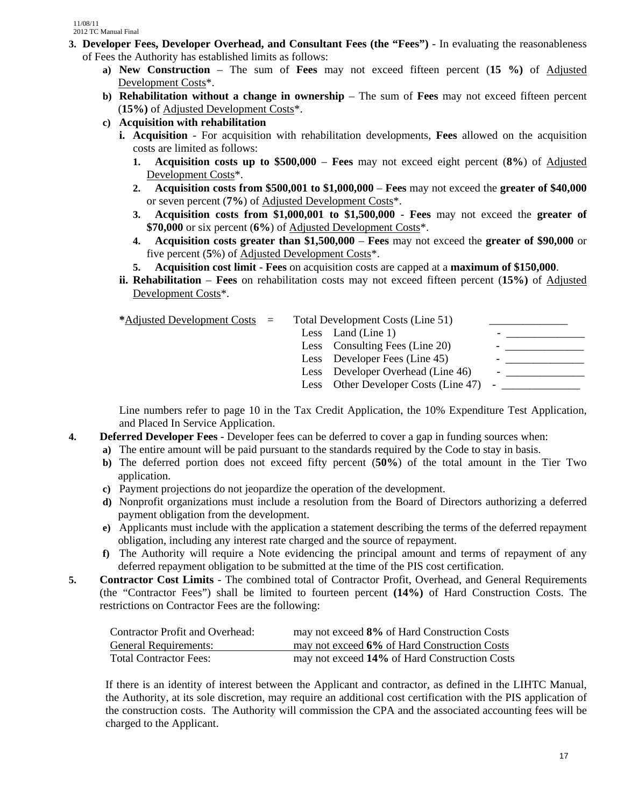- **3. Developer Fees, Developer Overhead, and Consultant Fees (the "Fees")**  In evaluating the reasonableness of Fees the Authority has established limits as follows:
	- **a) New Construction** The sum of **Fees** may not exceed fifteen percent (**15 %)** of Adjusted Development Costs\*.
	- **b) Rehabilitation without a change in ownership** The sum of **Fees** may not exceed fifteen percent (**15%)** of Adjusted Development Costs\*.
	- **c) Acquisition with rehabilitation** 
		- **i. Acquisition** For acquisition with rehabilitation developments, **Fees** allowed on the acquisition costs are limited as follows:
			- **1. Acquisition costs up to \$500,000 Fees** may not exceed eight percent (**8%**) of Adjusted Development Costs\*.
			- **2. Acquisition costs from \$500,001 to \$1,000,000** – **Fees** may not exceed the **greater of \$40,000** or seven percent (**7%**) of Adjusted Development Costs\*.
			- **3. Acquisition costs from \$1,000,001 to \$1,500,000 Fees** may not exceed the **greater of \$70,000** or six percent (**6%**) of Adjusted Development Costs\*.
			- **4. Acquisition costs greater than \$1,500,000 Fees** may not exceed the **greater of \$90,000** or five percent (**5**%) of Adjusted Development Costs\*.
			- **5. Acquisition cost limit Fees** on acquisition costs are capped at a **maximum of \$150,000**.
		- **ii. Rehabilitation Fees** on rehabilitation costs may not exceed fifteen percent (**15%)** of Adjusted Development Costs\*.

**\***Adjusted Development Costs = Total Development Costs (Line 51) \_\_\_\_\_\_\_\_\_\_\_\_\_\_

|  |  | Less Land (Line 1)                       |                          |
|--|--|------------------------------------------|--------------------------|
|  |  | Less Consulting Fees (Line 20)           |                          |
|  |  | Less Developer Fees (Line 45)            |                          |
|  |  | Less Developer Overhead (Line 46)        | $\overline{\phantom{0}}$ |
|  |  | Less Other Developer Costs (Line 47) $-$ |                          |
|  |  |                                          |                          |

Line numbers refer to page 10 in the Tax Credit Application, the 10% Expenditure Test Application, and Placed In Service Application.

- **4. Deferred Developer Fees** Developer fees can be deferred to cover a gap in funding sources when:
	- **a)** The entire amount will be paid pursuant to the standards required by the Code to stay in basis.
	- **b)** The deferred portion does not exceed fifty percent (**50%**) of the total amount in the Tier Two application.
	- **c)** Payment projections do not jeopardize the operation of the development.
	- **d)** Nonprofit organizations must include a resolution from the Board of Directors authorizing a deferred payment obligation from the development.
	- **e)** Applicants must include with the application a statement describing the terms of the deferred repayment obligation, including any interest rate charged and the source of repayment.
	- **f)** The Authority will require a Note evidencing the principal amount and terms of repayment of any deferred repayment obligation to be submitted at the time of the PIS cost certification.
- **5. Contractor Cost Limits** The combined total of Contractor Profit, Overhead, and General Requirements (the "Contractor Fees") shall be limited to fourteen percent **(14%)** of Hard Construction Costs. The restrictions on Contractor Fees are the following:

| <b>Contractor Profit and Overhead:</b> | may not exceed 8% of Hard Construction Costs  |
|----------------------------------------|-----------------------------------------------|
| <b>General Requirements:</b>           | may not exceed 6% of Hard Construction Costs  |
| <b>Total Contractor Fees:</b>          | may not exceed 14% of Hard Construction Costs |

If there is an identity of interest between the Applicant and contractor, as defined in the LIHTC Manual, the Authority, at its sole discretion, may require an additional cost certification with the PIS application of the construction costs. The Authority will commission the CPA and the associated accounting fees will be charged to the Applicant.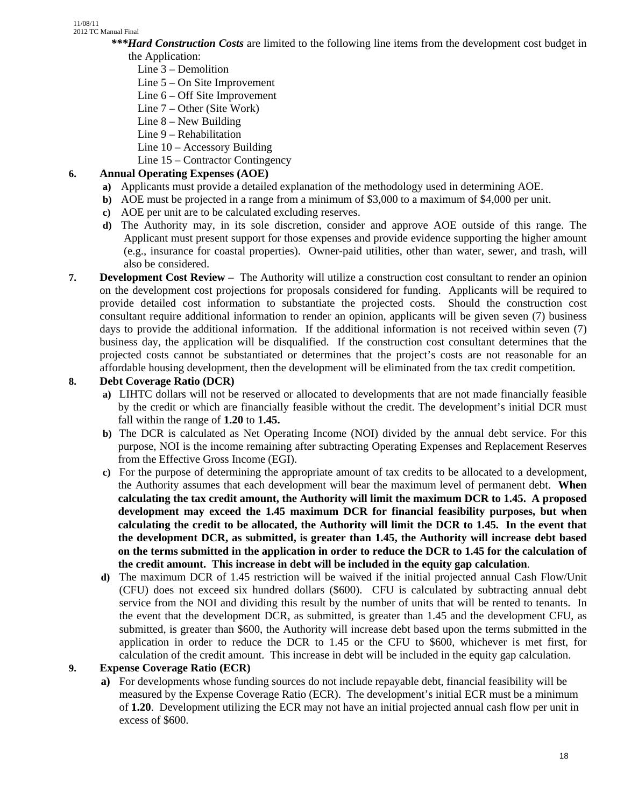- *\*\*\*Hard Construction Costs* are limited to the following line items from the development cost budget in the Application:
	- Line 3 Demolition
	- Line 5 On Site Improvement
	- Line 6 Off Site Improvement
	- Line 7 Other (Site Work)
	- Line 8 New Building
	- Line 9 Rehabilitation
	- Line 10 Accessory Building
	- Line 15 Contractor Contingency

# **6. Annual Operating Expenses (AOE)**

- **a)** Applicants must provide a detailed explanation of the methodology used in determining AOE.
- **b**) AOE must be projected in a range from a minimum of \$3,000 to a maximum of \$4,000 per unit.
- **c)** AOE per unit are to be calculated excluding reserves.
- **d)** The Authority may, in its sole discretion, consider and approve AOE outside of this range. The Applicant must present support for those expenses and provide evidence supporting the higher amount (e.g., insurance for coastal properties). Owner-paid utilities, other than water, sewer, and trash, will also be considered.
- **7. Development Cost Review** The Authority will utilize a construction cost consultant to render an opinion on the development cost projections for proposals considered for funding. Applicants will be required to provide detailed cost information to substantiate the projected costs. Should the construction cost consultant require additional information to render an opinion, applicants will be given seven (7) business days to provide the additional information. If the additional information is not received within seven (7) business day, the application will be disqualified. If the construction cost consultant determines that the projected costs cannot be substantiated or determines that the project's costs are not reasonable for an affordable housing development, then the development will be eliminated from the tax credit competition.

# **8. Debt Coverage Ratio (DCR)**

- **a)** LIHTC dollars will not be reserved or allocated to developments that are not made financially feasible by the credit or which are financially feasible without the credit. The development's initial DCR must fall within the range of **1.20** to **1.45.**
- **b)** The DCR is calculated as Net Operating Income (NOI) divided by the annual debt service. For this purpose, NOI is the income remaining after subtracting Operating Expenses and Replacement Reserves from the Effective Gross Income (EGI).
- **c)** For the purpose of determining the appropriate amount of tax credits to be allocated to a development, the Authority assumes that each development will bear the maximum level of permanent debt. **When calculating the tax credit amount, the Authority will limit the maximum DCR to 1.45. A proposed development may exceed the 1.45 maximum DCR for financial feasibility purposes, but when calculating the credit to be allocated, the Authority will limit the DCR to 1.45. In the event that the development DCR, as submitted, is greater than 1.45, the Authority will increase debt based on the terms submitted in the application in order to reduce the DCR to 1.45 for the calculation of the credit amount. This increase in debt will be included in the equity gap calculation**.
- **d)** The maximum DCR of 1.45 restriction will be waived if the initial projected annual Cash Flow/Unit (CFU) does not exceed six hundred dollars (\$600). CFU is calculated by subtracting annual debt service from the NOI and dividing this result by the number of units that will be rented to tenants. In the event that the development DCR, as submitted, is greater than 1.45 and the development CFU, as submitted, is greater than \$600, the Authority will increase debt based upon the terms submitted in the application in order to reduce the DCR to 1.45 or the CFU to \$600, whichever is met first, for calculation of the credit amount. This increase in debt will be included in the equity gap calculation.

# **9. Expense Coverage Ratio (ECR)**

**a)** For developments whose funding sources do not include repayable debt, financial feasibility will be measured by the Expense Coverage Ratio (ECR). The development's initial ECR must be a minimum of **1.20**. Development utilizing the ECR may not have an initial projected annual cash flow per unit in excess of \$600.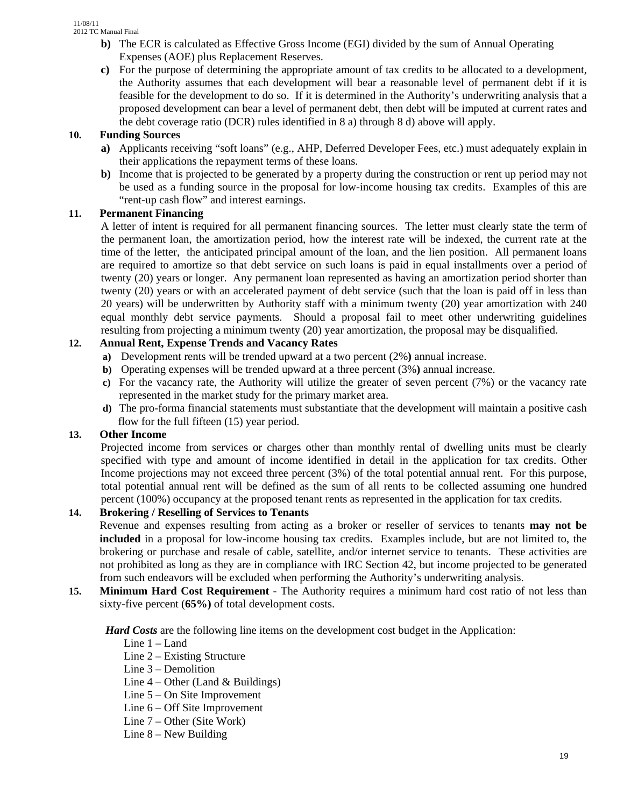- **b)** The ECR is calculated as Effective Gross Income (EGI) divided by the sum of Annual Operating Expenses (AOE) plus Replacement Reserves.
- **c)** For the purpose of determining the appropriate amount of tax credits to be allocated to a development, the Authority assumes that each development will bear a reasonable level of permanent debt if it is feasible for the development to do so. If it is determined in the Authority's underwriting analysis that a proposed development can bear a level of permanent debt, then debt will be imputed at current rates and the debt coverage ratio (DCR) rules identified in 8 a) through 8 d) above will apply.

## **10. Funding Sources**

- **a)** Applicants receiving "soft loans" (e.g., AHP, Deferred Developer Fees, etc.) must adequately explain in their applications the repayment terms of these loans.
- **b)** Income that is projected to be generated by a property during the construction or rent up period may not be used as a funding source in the proposal for low-income housing tax credits. Examples of this are "rent-up cash flow" and interest earnings.

## **11. Permanent Financing**

A letter of intent is required for all permanent financing sources. The letter must clearly state the term of the permanent loan, the amortization period, how the interest rate will be indexed, the current rate at the time of the letter, the anticipated principal amount of the loan, and the lien position. All permanent loans are required to amortize so that debt service on such loans is paid in equal installments over a period of twenty (20) years or longer. Any permanent loan represented as having an amortization period shorter than twenty (20) years or with an accelerated payment of debt service (such that the loan is paid off in less than 20 years) will be underwritten by Authority staff with a minimum twenty (20) year amortization with 240 equal monthly debt service payments. Should a proposal fail to meet other underwriting guidelines resulting from projecting a minimum twenty (20) year amortization, the proposal may be disqualified.

## **12. Annual Rent, Expense Trends and Vacancy Rates**

- **a)** Development rents will be trended upward at a two percent (2%**)** annual increase.
- **b)** Operating expenses will be trended upward at a three percent (3%**)** annual increase.
- **c)** For the vacancy rate, the Authority will utilize the greater of seven percent (7%) or the vacancy rate represented in the market study for the primary market area.
- **d)** The pro-forma financial statements must substantiate that the development will maintain a positive cash flow for the full fifteen (15) year period.

## **13. Other Income**

Projected income from services or charges other than monthly rental of dwelling units must be clearly specified with type and amount of income identified in detail in the application for tax credits. Other Income projections may not exceed three percent (3%) of the total potential annual rent. For this purpose, total potential annual rent will be defined as the sum of all rents to be collected assuming one hundred percent (100%) occupancy at the proposed tenant rents as represented in the application for tax credits.

# **14. Brokering / Reselling of Services to Tenants**

Revenue and expenses resulting from acting as a broker or reseller of services to tenants **may not be included** in a proposal for low-income housing tax credits. Examples include, but are not limited to, the brokering or purchase and resale of cable, satellite, and/or internet service to tenants. These activities are not prohibited as long as they are in compliance with IRC Section 42, but income projected to be generated from such endeavors will be excluded when performing the Authority's underwriting analysis.

**15. Minimum Hard Cost Requirement** - The Authority requires a minimum hard cost ratio of not less than sixty-five percent (**65%)** of total development costs.

*Hard Costs* are the following line items on the development cost budget in the Application:

- Line 1 Land
- Line 2 Existing Structure
- Line 3 Demolition
- Line  $4$  Other (Land  $\&$  Buildings)
- Line 5 On Site Improvement
- Line 6 Off Site Improvement
- Line 7 Other (Site Work)
- Line 8 New Building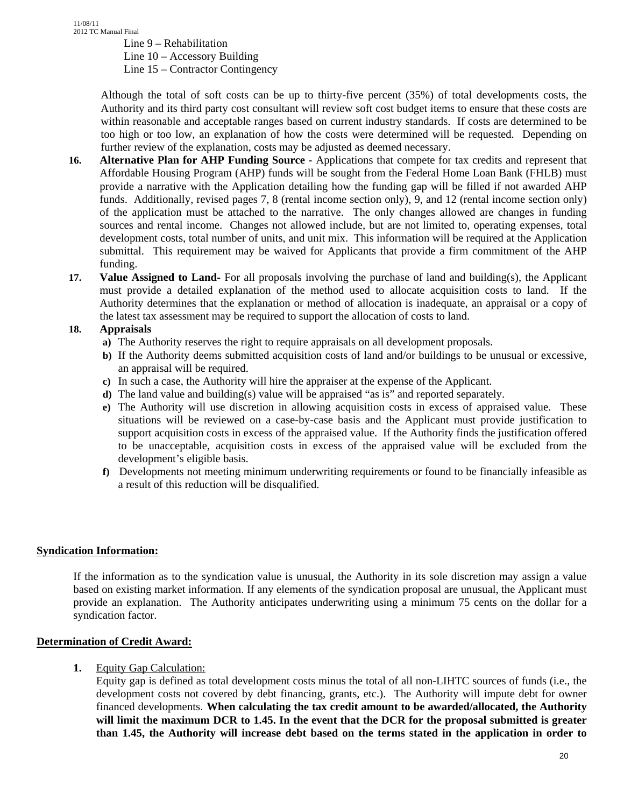Line 9 – Rehabilitation

Line 10 – Accessory Building

Line 15 – Contractor Contingency

Although the total of soft costs can be up to thirty-five percent (35%) of total developments costs, the Authority and its third party cost consultant will review soft cost budget items to ensure that these costs are within reasonable and acceptable ranges based on current industry standards. If costs are determined to be too high or too low, an explanation of how the costs were determined will be requested. Depending on further review of the explanation, costs may be adjusted as deemed necessary.

- **16. Alternative Plan for AHP Funding Source** Applications that compete for tax credits and represent that Affordable Housing Program (AHP) funds will be sought from the Federal Home Loan Bank (FHLB) must provide a narrative with the Application detailing how the funding gap will be filled if not awarded AHP funds. Additionally, revised pages 7, 8 (rental income section only), 9, and 12 (rental income section only) of the application must be attached to the narrative. The only changes allowed are changes in funding sources and rental income. Changes not allowed include, but are not limited to, operating expenses, total development costs, total number of units, and unit mix. This information will be required at the Application submittal. This requirement may be waived for Applicants that provide a firm commitment of the AHP funding.
- **17. Value Assigned to Land-** For all proposals involving the purchase of land and building(s), the Applicant must provide a detailed explanation of the method used to allocate acquisition costs to land. If the Authority determines that the explanation or method of allocation is inadequate, an appraisal or a copy of the latest tax assessment may be required to support the allocation of costs to land.

#### **18. Appraisals**

- **a)** The Authority reserves the right to require appraisals on all development proposals.
- **b)** If the Authority deems submitted acquisition costs of land and/or buildings to be unusual or excessive, an appraisal will be required.
- **c)** In such a case, the Authority will hire the appraiser at the expense of the Applicant.
- **d)** The land value and building(s) value will be appraised "as is" and reported separately.
- **e)** The Authority will use discretion in allowing acquisition costs in excess of appraised value. These situations will be reviewed on a case-by-case basis and the Applicant must provide justification to support acquisition costs in excess of the appraised value. If the Authority finds the justification offered to be unacceptable, acquisition costs in excess of the appraised value will be excluded from the development's eligible basis.
- **f)** Developments not meeting minimum underwriting requirements or found to be financially infeasible as a result of this reduction will be disqualified.

#### **Syndication Information:**

If the information as to the syndication value is unusual, the Authority in its sole discretion may assign a value based on existing market information. If any elements of the syndication proposal are unusual, the Applicant must provide an explanation. The Authority anticipates underwriting using a minimum 75 cents on the dollar for a syndication factor.

## **Determination of Credit Award:**

**1.** Equity Gap Calculation:

Equity gap is defined as total development costs minus the total of all non-LIHTC sources of funds (i.e., the development costs not covered by debt financing, grants, etc.). The Authority will impute debt for owner financed developments. **When calculating the tax credit amount to be awarded/allocated, the Authority will limit the maximum DCR to 1.45. In the event that the DCR for the proposal submitted is greater than 1.45, the Authority will increase debt based on the terms stated in the application in order to**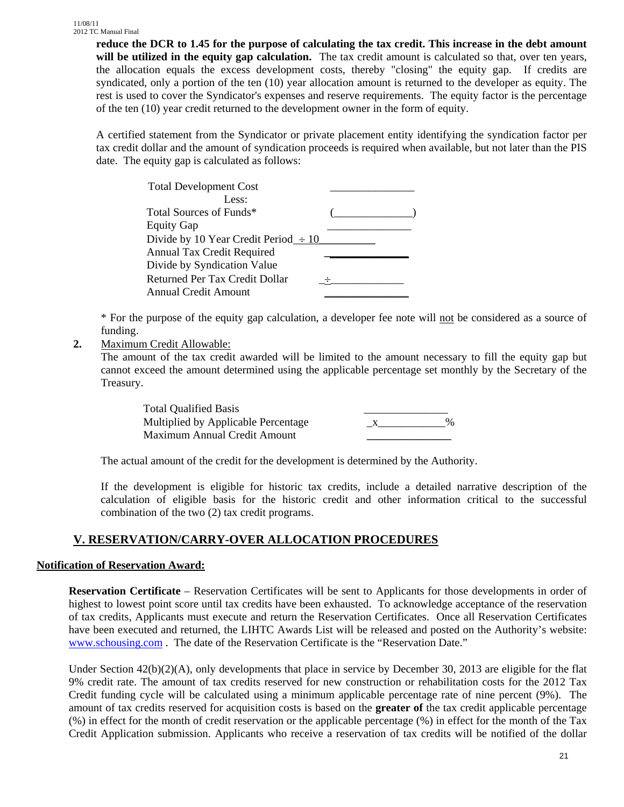**reduce the DCR to 1.45 for the purpose of calculating the tax credit. This increase in the debt amount will be utilized in the equity gap calculation.** The tax credit amount is calculated so that, over ten years, the allocation equals the excess development costs, thereby "closing" the equity gap. If credits are syndicated, only a portion of the ten (10) year allocation amount is returned to the developer as equity. The rest is used to cover the Syndicator's expenses and reserve requirements. The equity factor is the percentage of the ten (10) year credit returned to the development owner in the form of equity.

A certified statement from the Syndicator or private placement entity identifying the syndication factor per tax credit dollar and the amount of syndication proceeds is required when available, but not later than the PIS date. The equity gap is calculated as follows:

| <b>Total Development Cost</b>             |  |
|-------------------------------------------|--|
| Less:                                     |  |
| Total Sources of Funds*                   |  |
| <b>Equity Gap</b>                         |  |
| Divide by 10 Year Credit Period $\div 10$ |  |
| <b>Annual Tax Credit Required</b>         |  |
| Divide by Syndication Value               |  |
| Returned Per Tax Credit Dollar            |  |
| <b>Annual Credit Amount</b>               |  |
|                                           |  |

\* For the purpose of the equity gap calculation, a developer fee note will not be considered as a source of funding.

## **2.** Maximum Credit Allowable:

The amount of the tax credit awarded will be limited to the amount necessary to fill the equity gap but cannot exceed the amount determined using the applicable percentage set monthly by the Secretary of the Treasury.

| <b>Total Qualified Basis</b>        |      |
|-------------------------------------|------|
| Multiplied by Applicable Percentage | $\%$ |
| Maximum Annual Credit Amount        |      |

The actual amount of the credit for the development is determined by the Authority.

If the development is eligible for historic tax credits, include a detailed narrative description of the calculation of eligible basis for the historic credit and other information critical to the successful combination of the two (2) tax credit programs.

# **V. RESERVATION/CARRY-OVER ALLOCATION PROCEDURES**

#### **Notification of Reservation Award:**

**Reservation Certificate** – Reservation Certificates will be sent to Applicants for those developments in order of highest to lowest point score until tax credits have been exhausted. To acknowledge acceptance of the reservation of tax credits, Applicants must execute and return the Reservation Certificates. Once all Reservation Certificates have been executed and returned, the LIHTC Awards List will be released and posted on the Authority's website: www.schousing.com . The date of the Reservation Certificate is the "Reservation Date."

Under Section  $42(b)(2)(A)$ , only developments that place in service by December 30, 2013 are eligible for the flat 9% credit rate. The amount of tax credits reserved for new construction or rehabilitation costs for the 2012 Tax Credit funding cycle will be calculated using a minimum applicable percentage rate of nine percent (9%). The amount of tax credits reserved for acquisition costs is based on the **greater of** the tax credit applicable percentage (%) in effect for the month of credit reservation or the applicable percentage (%) in effect for the month of the Tax Credit Application submission. Applicants who receive a reservation of tax credits will be notified of the dollar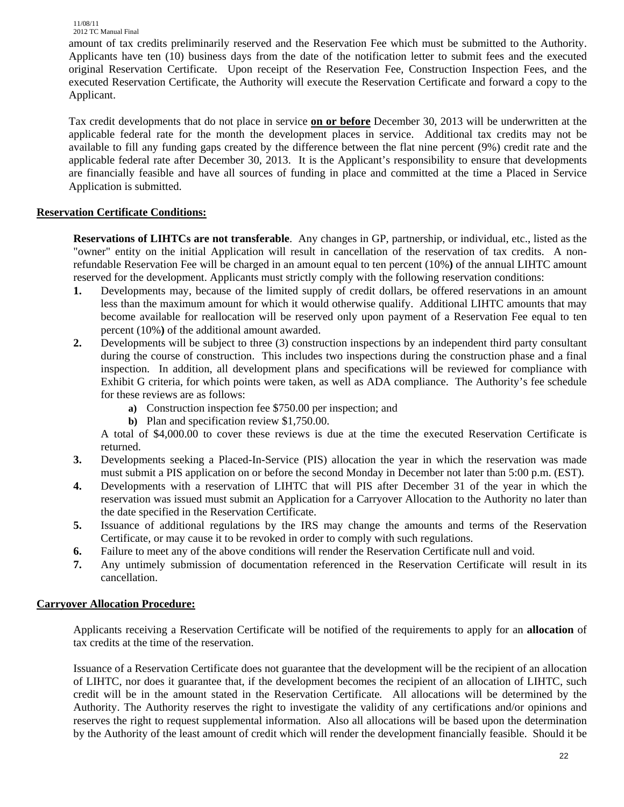11/08/11

2012 TC Manual Final amount of tax credits preliminarily reserved and the Reservation Fee which must be submitted to the Authority. Applicants have ten (10) business days from the date of the notification letter to submit fees and the executed original Reservation Certificate. Upon receipt of the Reservation Fee, Construction Inspection Fees, and the executed Reservation Certificate, the Authority will execute the Reservation Certificate and forward a copy to the Applicant.

Tax credit developments that do not place in service **on or before** December 30, 2013 will be underwritten at the applicable federal rate for the month the development places in service. Additional tax credits may not be available to fill any funding gaps created by the difference between the flat nine percent (9%) credit rate and the applicable federal rate after December 30, 2013. It is the Applicant's responsibility to ensure that developments are financially feasible and have all sources of funding in place and committed at the time a Placed in Service Application is submitted.

## **Reservation Certificate Conditions:**

**Reservations of LIHTCs are not transferable**. Any changes in GP, partnership, or individual, etc., listed as the "owner" entity on the initial Application will result in cancellation of the reservation of tax credits. A nonrefundable Reservation Fee will be charged in an amount equal to ten percent (10%**)** of the annual LIHTC amount reserved for the development. Applicants must strictly comply with the following reservation conditions:

- **1.** Developments may, because of the limited supply of credit dollars, be offered reservations in an amount less than the maximum amount for which it would otherwise qualify. Additional LIHTC amounts that may become available for reallocation will be reserved only upon payment of a Reservation Fee equal to ten percent (10%**)** of the additional amount awarded.
- **2.** Developments will be subject to three (3) construction inspections by an independent third party consultant during the course of construction. This includes two inspections during the construction phase and a final inspection. In addition, all development plans and specifications will be reviewed for compliance with Exhibit G criteria, for which points were taken, as well as ADA compliance. The Authority's fee schedule for these reviews are as follows:
	- **a)** Construction inspection fee \$750.00 per inspection; and
	- **b)** Plan and specification review \$1,750.00.

A total of \$4,000.00 to cover these reviews is due at the time the executed Reservation Certificate is returned.

- **3.** Developments seeking a Placed-In-Service (PIS) allocation the year in which the reservation was made must submit a PIS application on or before the second Monday in December not later than 5:00 p.m. (EST).
- **4.** Developments with a reservation of LIHTC that will PIS after December 31 of the year in which the reservation was issued must submit an Application for a Carryover Allocation to the Authority no later than the date specified in the Reservation Certificate.
- **5.** Issuance of additional regulations by the IRS may change the amounts and terms of the Reservation Certificate, or may cause it to be revoked in order to comply with such regulations.
- **6.** Failure to meet any of the above conditions will render the Reservation Certificate null and void.
- **7.** Any untimely submission of documentation referenced in the Reservation Certificate will result in its cancellation.

## **Carryover Allocation Procedure:**

Applicants receiving a Reservation Certificate will be notified of the requirements to apply for an **allocation** of tax credits at the time of the reservation.

Issuance of a Reservation Certificate does not guarantee that the development will be the recipient of an allocation of LIHTC, nor does it guarantee that, if the development becomes the recipient of an allocation of LIHTC, such credit will be in the amount stated in the Reservation Certificate*.* All allocations will be determined by the Authority. The Authority reserves the right to investigate the validity of any certifications and/or opinions and reserves the right to request supplemental information. Also all allocations will be based upon the determination by the Authority of the least amount of credit which will render the development financially feasible. Should it be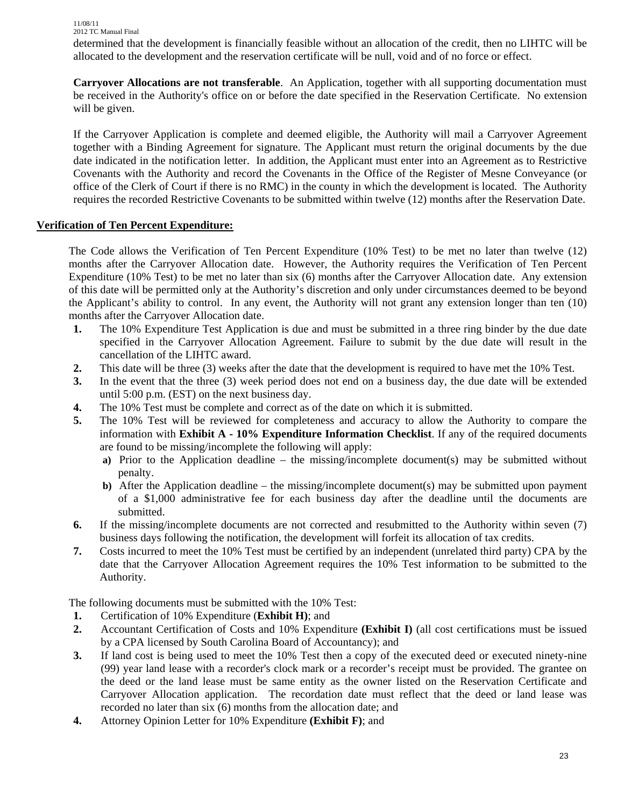determined that the development is financially feasible without an allocation of the credit, then no LIHTC will be allocated to the development and the reservation certificate will be null, void and of no force or effect.

**Carryover Allocations are not transferable**. An Application, together with all supporting documentation must be received in the Authority's office on or before the date specified in the Reservation Certificate. No extension will be given.

If the Carryover Application is complete and deemed eligible, the Authority will mail a Carryover Agreement together with a Binding Agreement for signature. The Applicant must return the original documents by the due date indicated in the notification letter. In addition, the Applicant must enter into an Agreement as to Restrictive Covenants with the Authority and record the Covenants in the Office of the Register of Mesne Conveyance (or office of the Clerk of Court if there is no RMC) in the county in which the development is located. The Authority requires the recorded Restrictive Covenants to be submitted within twelve (12) months after the Reservation Date.

#### **Verification of Ten Percent Expenditure:**

The Code allows the Verification of Ten Percent Expenditure (10% Test) to be met no later than twelve (12) months after the Carryover Allocation date. However, the Authority requires the Verification of Ten Percent Expenditure (10% Test) to be met no later than six (6) months after the Carryover Allocation date.Any extension of this date will be permitted only at the Authority's discretion and only under circumstances deemed to be beyond the Applicant's ability to control. In any event, the Authority will not grant any extension longer than ten (10) months after the Carryover Allocation date.

- **1.** The 10% Expenditure Test Application is due and must be submitted in a three ring binder by the due date specified in the Carryover Allocation Agreement. Failure to submit by the due date will result in the cancellation of the LIHTC award.
- **2.** This date will be three (3) weeks after the date that the development is required to have met the 10% Test.
- **3.** In the event that the three (3) week period does not end on a business day, the due date will be extended until 5:00 p.m. (EST) on the next business day.
- **4.** The 10% Test must be complete and correct as of the date on which it is submitted.
- **5.** The 10% Test will be reviewed for completeness and accuracy to allow the Authority to compare the information with **Exhibit A - 10% Expenditure Information Checklist**. If any of the required documents are found to be missing/incomplete the following will apply:
	- **a)** Prior to the Application deadline the missing/incomplete document(s) may be submitted without penalty.
	- **b)** After the Application deadline the missing/incomplete document(s) may be submitted upon payment of a \$1,000 administrative fee for each business day after the deadline until the documents are submitted.
- **6.** If the missing/incomplete documents are not corrected and resubmitted to the Authority within seven (7) business days following the notification, the development will forfeit its allocation of tax credits.
- **7.** Costs incurred to meet the 10% Test must be certified by an independent (unrelated third party) CPA by the date that the Carryover Allocation Agreement requires the 10% Test information to be submitted to the Authority.

The following documents must be submitted with the 10% Test:

- **1.** Certification of 10% Expenditure (**Exhibit H)**; and
- **2.** Accountant Certification of Costs and 10% Expenditure **(Exhibit I)** (all cost certifications must be issued by a CPA licensed by South Carolina Board of Accountancy); and
- **3.** If land cost is being used to meet the 10% Test then a copy of the executed deed or executed ninety-nine (99) year land lease with a recorder's clock mark or a recorder's receipt must be provided. The grantee on the deed or the land lease must be same entity as the owner listed on the Reservation Certificate and Carryover Allocation application. The recordation date must reflect that the deed or land lease was recorded no later than six (6) months from the allocation date; and
- **4.** Attorney Opinion Letter for 10% Expenditure **(Exhibit F)**; and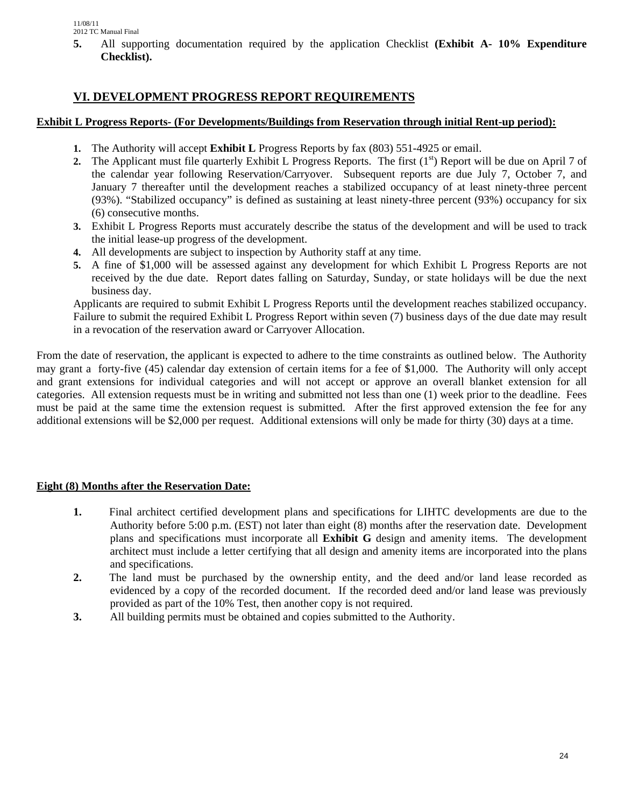**5.** All supporting documentation required by the application Checklist **(Exhibit A- 10% Expenditure Checklist).**

# **VI. DEVELOPMENT PROGRESS REPORT REQUIREMENTS**

#### **Exhibit L Progress Reports- (For Developments/Buildings from Reservation through initial Rent-up period):**

- **1.** The Authority will accept **Exhibit L** Progress Reports by fax (803) 551-4925 or email.
- **2.** The Applicant must file quarterly Exhibit L Progress Reports. The first  $(1<sup>st</sup>)$  Report will be due on April 7 of the calendar year following Reservation/Carryover. Subsequent reports are due July 7, October 7, and January 7 thereafter until the development reaches a stabilized occupancy of at least ninety-three percent (93%). "Stabilized occupancy" is defined as sustaining at least ninety-three percent (93%) occupancy for six (6) consecutive months.
- **3.** Exhibit L Progress Reports must accurately describe the status of the development and will be used to track the initial lease-up progress of the development.
- **4.** All developments are subject to inspection by Authority staff at any time.
- **5.** A fine of \$1,000 will be assessed against any development for which Exhibit L Progress Reports are not received by the due date. Report dates falling on Saturday, Sunday, or state holidays will be due the next business day.

Applicants are required to submit Exhibit L Progress Reports until the development reaches stabilized occupancy. Failure to submit the required Exhibit L Progress Report within seven (7) business days of the due date may result in a revocation of the reservation award or Carryover Allocation.

From the date of reservation, the applicant is expected to adhere to the time constraints as outlined below. The Authority may grant a forty-five (45) calendar day extension of certain items for a fee of \$1,000. The Authority will only accept and grant extensions for individual categories and will not accept or approve an overall blanket extension for all categories. All extension requests must be in writing and submitted not less than one (1) week prior to the deadline. Fees must be paid at the same time the extension request is submitted. After the first approved extension the fee for any additional extensions will be \$2,000 per request. Additional extensions will only be made for thirty (30) days at a time.

## **Eight (8) Months after the Reservation Date:**

- **1.** Final architect certified development plans and specifications for LIHTC developments are due to the Authority before 5:00 p.m. (EST) not later than eight (8) months after the reservation date. Development plans and specifications must incorporate all **Exhibit G** design and amenity items. The development architect must include a letter certifying that all design and amenity items are incorporated into the plans and specifications.
- **2.** The land must be purchased by the ownership entity, and the deed and/or land lease recorded as evidenced by a copy of the recorded document. If the recorded deed and/or land lease was previously provided as part of the 10% Test, then another copy is not required.
- **3.** All building permits must be obtained and copies submitted to the Authority.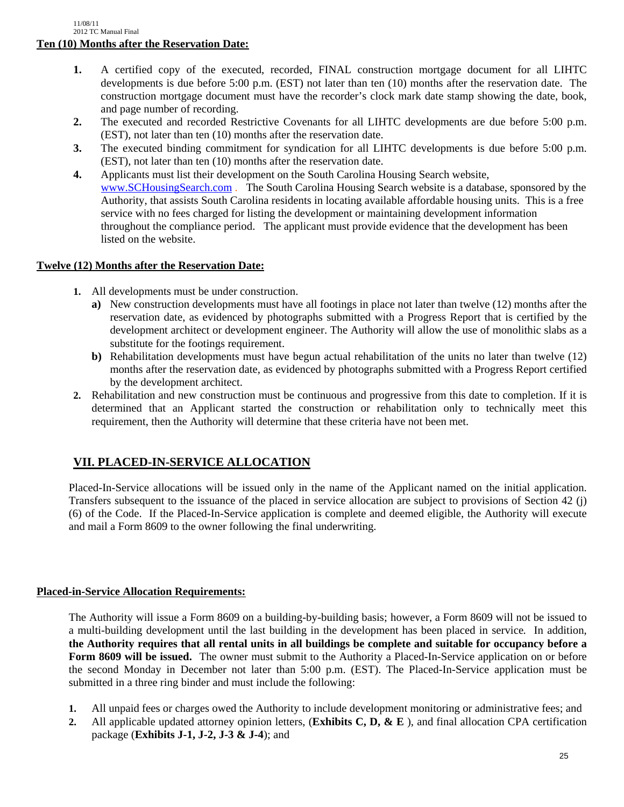- **1.** A certified copy of the executed, recorded, FINAL construction mortgage document for all LIHTC developments is due before 5:00 p.m. (EST) not later than ten (10) months after the reservation date. The construction mortgage document must have the recorder's clock mark date stamp showing the date, book, and page number of recording.
- **2.** The executed and recorded Restrictive Covenants for all LIHTC developments are due before 5:00 p.m. (EST), not later than ten (10) months after the reservation date.
- **3.** The executed binding commitment for syndication for all LIHTC developments is due before 5:00 p.m. (EST), not later than ten (10) months after the reservation date.
- **4.** Applicants must list their development on the South Carolina Housing Search website, www.SCHousingSearch.com . The South Carolina Housing Search website is a database, sponsored by the Authority, that assists South Carolina residents in locating available affordable housing units. This is a free service with no fees charged for listing the development or maintaining development information throughout the compliance period. The applicant must provide evidence that the development has been listed on the website.

## **Twelve (12) Months after the Reservation Date:**

- **1.** All developments must be under construction.
	- **a)** New construction developments must have all footings in place not later than twelve (12) months after the reservation date, as evidenced by photographs submitted with a Progress Report that is certified by the development architect or development engineer. The Authority will allow the use of monolithic slabs as a substitute for the footings requirement.
	- **b)** Rehabilitation developments must have begun actual rehabilitation of the units no later than twelve (12) months after the reservation date, as evidenced by photographs submitted with a Progress Report certified by the development architect.
- **2.** Rehabilitation and new construction must be continuous and progressive from this date to completion. If it is determined that an Applicant started the construction or rehabilitation only to technically meet this requirement, then the Authority will determine that these criteria have not been met.

# **VII. PLACED-IN-SERVICE ALLOCATION**

Placed-In-Service allocations will be issued only in the name of the Applicant named on the initial application. Transfers subsequent to the issuance of the placed in service allocation are subject to provisions of Section 42 (j) (6) of the Code. If the Placed-In-Service application is complete and deemed eligible, the Authority will execute and mail a Form 8609 to the owner following the final underwriting.

# **Placed-in-Service Allocation Requirements:**

The Authority will issue a Form 8609 on a building-by-building basis; however, a Form 8609 will not be issued to a multi-building development until the last building in the development has been placed in service*.* In addition, **the Authority requires that all rental units in all buildings be complete and suitable for occupancy before a Form 8609 will be issued.** The owner must submit to the Authority a Placed-In-Service application on or before the second Monday in December not later than 5:00 p.m. (EST). The Placed-In-Service application must be submitted in a three ring binder and must include the following:

- **1.** All unpaid fees or charges owed the Authority to include development monitoring or administrative fees; and
- **2.** All applicable updated attorney opinion letters, (**Exhibits C, D, & E** ), and final allocation CPA certification package (**Exhibits J-1, J-2, J-3 & J-4**); and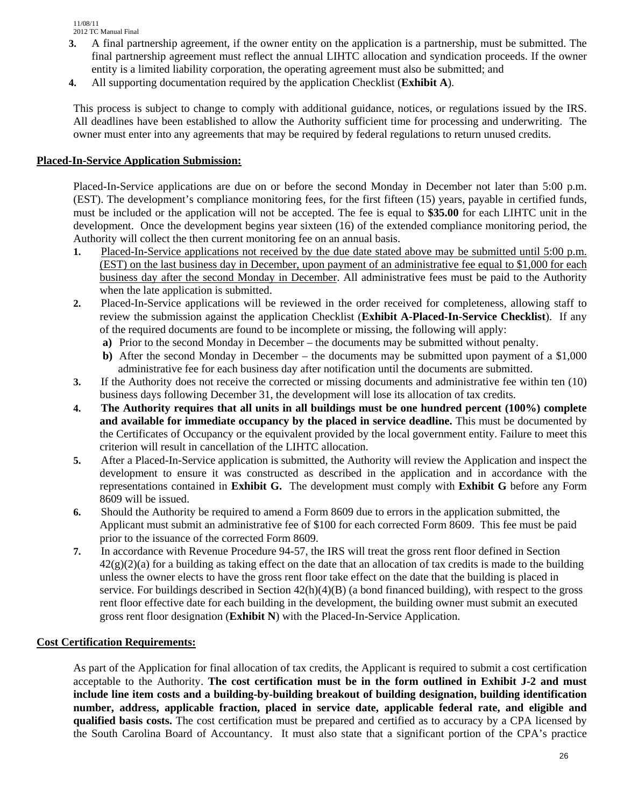- **3.** A final partnership agreement, if the owner entity on the application is a partnership, must be submitted. The final partnership agreement must reflect the annual LIHTC allocation and syndication proceeds. If the owner entity is a limited liability corporation, the operating agreement must also be submitted; and
- **4.** All supporting documentation required by the application Checklist (**Exhibit A**).

This process is subject to change to comply with additional guidance, notices, or regulations issued by the IRS. All deadlines have been established to allow the Authority sufficient time for processing and underwriting. The owner must enter into any agreements that may be required by federal regulations to return unused credits.

#### **Placed-In-Service Application Submission:**

Placed-In-Service applications are due on or before the second Monday in December not later than 5:00 p.m. (EST). The development's compliance monitoring fees, for the first fifteen (15) years, payable in certified funds, must be included or the application will not be accepted. The fee is equal to **\$35.00** for each LIHTC unit in the development. Once the development begins year sixteen (16) of the extended compliance monitoring period, the Authority will collect the then current monitoring fee on an annual basis.

- **1.** Placed-In-Service applications not received by the due date stated above may be submitted until 5:00 p.m. (EST) on the last business day in December, upon payment of an administrative fee equal to \$1,000 for each business day after the second Monday in December. All administrative fees must be paid to the Authority when the late application is submitted.
- **2.** Placed-In-Service applications will be reviewed in the order received for completeness, allowing staff to review the submission against the application Checklist (**Exhibit A-Placed-In-Service Checklist**). If any of the required documents are found to be incomplete or missing, the following will apply:
	- **a)** Prior to the second Monday in December the documents may be submitted without penalty.
	- **b**) After the second Monday in December the documents may be submitted upon payment of a \$1,000 administrative fee for each business day after notification until the documents are submitted.
- **3.** If the Authority does not receive the corrected or missing documents and administrative fee within ten (10) business days following December 31, the development will lose its allocation of tax credits.
- **4. The Authority requires that all units in all buildings must be one hundred percent (100%) complete and available for immediate occupancy by the placed in service deadline.** This must be documented by the Certificates of Occupancy or the equivalent provided by the local government entity. Failure to meet this criterion will result in cancellation of the LIHTC allocation.
- **5.** After a Placed-In-Service application is submitted, the Authority will review the Application and inspect the development to ensure it was constructed as described in the application and in accordance with the representations contained in **Exhibit G.** The development must comply with **Exhibit G** before any Form 8609 will be issued.
- **6.** Should the Authority be required to amend a Form 8609 due to errors in the application submitted, the Applicant must submit an administrative fee of \$100 for each corrected Form 8609. This fee must be paid prior to the issuance of the corrected Form 8609.
- **7.** In accordance with Revenue Procedure 94-57, the IRS will treat the gross rent floor defined in Section  $42(g)(2)(a)$  for a building as taking effect on the date that an allocation of tax credits is made to the building unless the owner elects to have the gross rent floor take effect on the date that the building is placed in service. For buildings described in Section  $42(h)(4)(B)$  (a bond financed building), with respect to the gross rent floor effective date for each building in the development, the building owner must submit an executed gross rent floor designation (**Exhibit N**) with the Placed-In-Service Application.

## **Cost Certification Requirements:**

As part of the Application for final allocation of tax credits, the Applicant is required to submit a cost certification acceptable to the Authority. **The cost certification must be in the form outlined in Exhibit J-2 and must include line item costs and a building-by-building breakout of building designation, building identification number, address, applicable fraction, placed in service date, applicable federal rate, and eligible and qualified basis costs.** The cost certification must be prepared and certified as to accuracy by a CPA licensed by the South Carolina Board of Accountancy. It must also state that a significant portion of the CPA's practice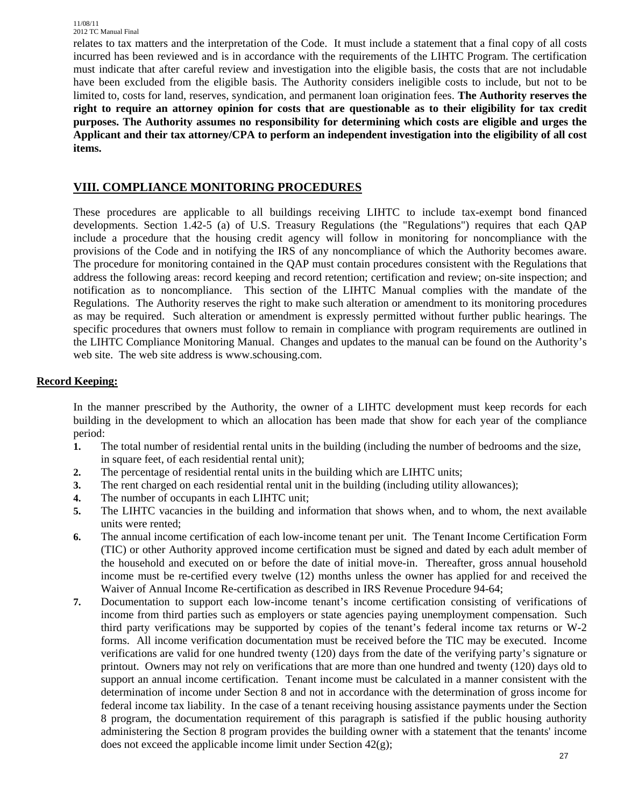relates to tax matters and the interpretation of the Code. It must include a statement that a final copy of all costs incurred has been reviewed and is in accordance with the requirements of the LIHTC Program. The certification must indicate that after careful review and investigation into the eligible basis, the costs that are not includable have been excluded from the eligible basis. The Authority considers ineligible costs to include, but not to be limited to, costs for land, reserves, syndication, and permanent loan origination fees. **The Authority reserves the right to require an attorney opinion for costs that are questionable as to their eligibility for tax credit purposes. The Authority assumes no responsibility for determining which costs are eligible and urges the Applicant and their tax attorney/CPA to perform an independent investigation into the eligibility of all cost items.** 

# **VIII. COMPLIANCE MONITORING PROCEDURES**

These procedures are applicable to all buildings receiving LIHTC to include tax-exempt bond financed developments. Section 1.42-5 (a) of U.S. Treasury Regulations (the "Regulations") requires that each QAP include a procedure that the housing credit agency will follow in monitoring for noncompliance with the provisions of the Code and in notifying the IRS of any noncompliance of which the Authority becomes aware. The procedure for monitoring contained in the QAP must contain procedures consistent with the Regulations that address the following areas: record keeping and record retention; certification and review; on-site inspection; and notification as to noncompliance. This section of the LIHTC Manual complies with the mandate of the Regulations. The Authority reserves the right to make such alteration or amendment to its monitoring procedures as may be required. Such alteration or amendment is expressly permitted without further public hearings. The specific procedures that owners must follow to remain in compliance with program requirements are outlined in the LIHTC Compliance Monitoring Manual. Changes and updates to the manual can be found on the Authority's web site. The web site address is www.schousing.com.

## **Record Keeping:**

In the manner prescribed by the Authority, the owner of a LIHTC development must keep records for each building in the development to which an allocation has been made that show for each year of the compliance period:

- **1.** The total number of residential rental units in the building (including the number of bedrooms and the size, in square feet, of each residential rental unit);
- **2.** The percentage of residential rental units in the building which are LIHTC units;
- **3.** The rent charged on each residential rental unit in the building (including utility allowances);
- **4.** The number of occupants in each LIHTC unit;
- **5.** The LIHTC vacancies in the building and information that shows when, and to whom, the next available units were rented;
- **6.** The annual income certification of each low-income tenant per unit. The Tenant Income Certification Form (TIC) or other Authority approved income certification must be signed and dated by each adult member of the household and executed on or before the date of initial move-in. Thereafter, gross annual household income must be re-certified every twelve (12) months unless the owner has applied for and received the Waiver of Annual Income Re-certification as described in IRS Revenue Procedure 94-64;
- **7.** Documentation to support each low-income tenant's income certification consisting of verifications of income from third parties such as employers or state agencies paying unemployment compensation. Such third party verifications may be supported by copies of the tenant's federal income tax returns or W-2 forms. All income verification documentation must be received before the TIC may be executed. Income verifications are valid for one hundred twenty (120) days from the date of the verifying party's signature or printout. Owners may not rely on verifications that are more than one hundred and twenty (120) days old to support an annual income certification. Tenant income must be calculated in a manner consistent with the determination of income under Section 8 and not in accordance with the determination of gross income for federal income tax liability. In the case of a tenant receiving housing assistance payments under the Section 8 program, the documentation requirement of this paragraph is satisfied if the public housing authority administering the Section 8 program provides the building owner with a statement that the tenants' income does not exceed the applicable income limit under Section 42(g);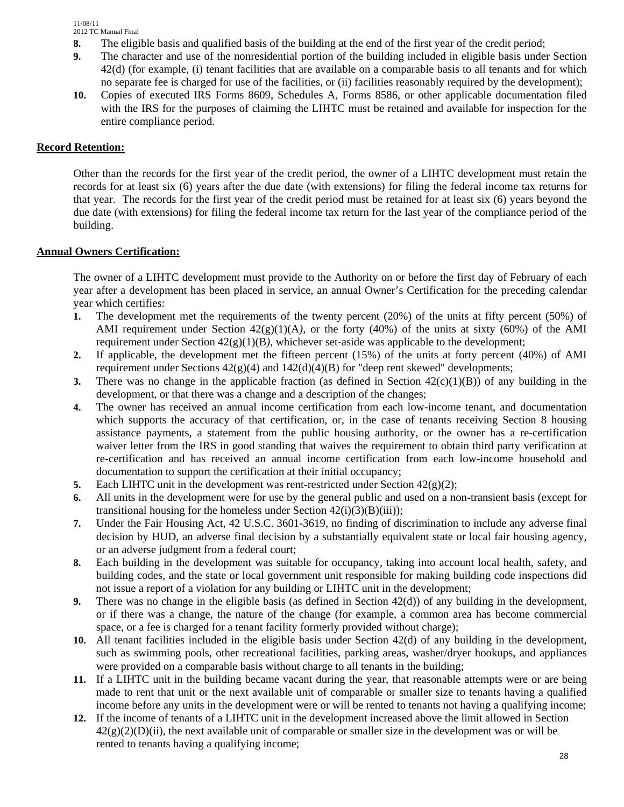- **8.** The eligible basis and qualified basis of the building at the end of the first year of the credit period;
- **9.** The character and use of the nonresidential portion of the building included in eligible basis under Section 42(d) (for example, (i) tenant facilities that are available on a comparable basis to all tenants and for which no separate fee is charged for use of the facilities, or (ii) facilities reasonably required by the development);
- **10.** Copies of executed IRS Forms 8609, Schedules A, Forms 8586, or other applicable documentation filed with the IRS for the purposes of claiming the LIHTC must be retained and available for inspection for the entire compliance period.

#### **Record Retention:**

Other than the records for the first year of the credit period, the owner of a LIHTC development must retain the records for at least six (6) years after the due date (with extensions) for filing the federal income tax returns for that year. The records for the first year of the credit period must be retained for at least six (6) years beyond the due date (with extensions) for filing the federal income tax return for the last year of the compliance period of the building.

#### **Annual Owners Certification:**

The owner of a LIHTC development must provide to the Authority on or before the first day of February of each year after a development has been placed in service, an annual Owner's Certification for the preceding calendar year which certifies:

- **1.** The development met the requirements of the twenty percent (20%) of the units at fifty percent (50%) of AMI requirement under Section  $42(g)(1)(A)$ , or the forty (40%) of the units at sixty (60%) of the AMI requirement under Section 42(g)(1)(B*)*, whichever set-aside was applicable to the development;
- **2.** If applicable, the development met the fifteen percent (15%) of the units at forty percent (40%) of AMI requirement under Sections  $42(g)(4)$  and  $142(d)(4)(B)$  for "deep rent skewed" developments;
- **3.** There was no change in the applicable fraction (as defined in Section 42(c)(1)(B)) of any building in the development, or that there was a change and a description of the changes;
- **4.** The owner has received an annual income certification from each low-income tenant, and documentation which supports the accuracy of that certification, or, in the case of tenants receiving Section 8 housing assistance payments, a statement from the public housing authority, or the owner has a re-certification waiver letter from the IRS in good standing that waives the requirement to obtain third party verification at re-certification and has received an annual income certification from each low-income household and documentation to support the certification at their initial occupancy;
- **5.** Each LIHTC unit in the development was rent-restricted under Section  $42(g)(2)$ ;
- **6.** All units in the development were for use by the general public and used on a non-transient basis (except for transitional housing for the homeless under Section  $42(i)(3)(B)(iii)$ ;
- **7.** Under the Fair Housing Act, 42 U.S.C. 3601-3619, no finding of discrimination to include any adverse final decision by HUD, an adverse final decision by a substantially equivalent state or local fair housing agency, or an adverse judgment from a federal court;
- **8.** Each building in the development was suitable for occupancy, taking into account local health, safety, and building codes, and the state or local government unit responsible for making building code inspections did not issue a report of a violation for any building or LIHTC unit in the development;
- **9.** There was no change in the eligible basis (as defined in Section 42(d)) of any building in the development, or if there was a change, the nature of the change (for example, a common area has become commercial space, or a fee is charged for a tenant facility formerly provided without charge);
- **10.** All tenant facilities included in the eligible basis under Section 42(d) of any building in the development, such as swimming pools, other recreational facilities, parking areas, washer/dryer hookups, and appliances were provided on a comparable basis without charge to all tenants in the building;
- **11.** If a LIHTC unit in the building became vacant during the year, that reasonable attempts were or are being made to rent that unit or the next available unit of comparable or smaller size to tenants having a qualified income before any units in the development were or will be rented to tenants not having a qualifying income;
- **12.** If the income of tenants of a LIHTC unit in the development increased above the limit allowed in Section  $42(g)(2)(D)(ii)$ , the next available unit of comparable or smaller size in the development was or will be rented to tenants having a qualifying income;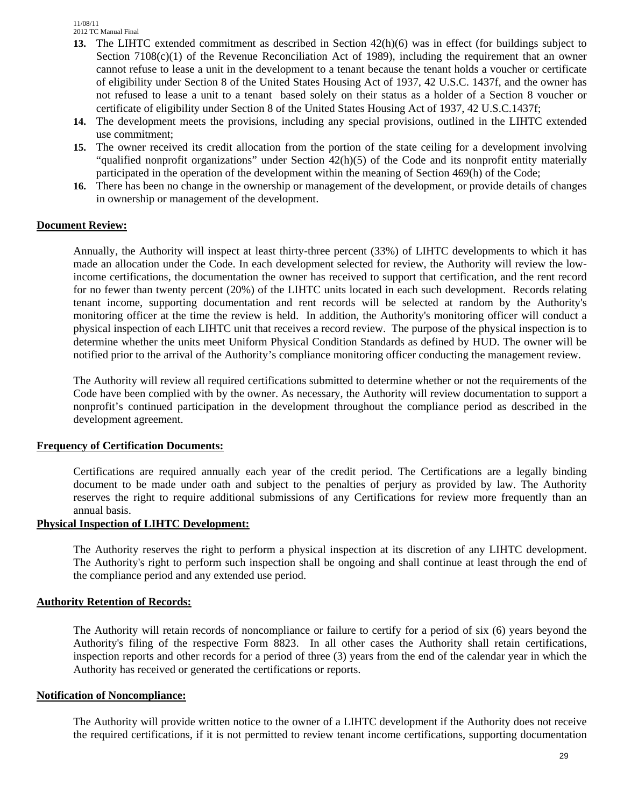- **13.** The LIHTC extended commitment as described in Section 42(h)(6) was in effect (for buildings subject to Section  $7108(c)(1)$  of the Revenue Reconciliation Act of 1989), including the requirement that an owner cannot refuse to lease a unit in the development to a tenant because the tenant holds a voucher or certificate of eligibility under Section 8 of the United States Housing Act of 1937, 42 U.S.C. 1437f, and the owner has not refused to lease a unit to a tenant based solely on their status as a holder of a Section 8 voucher or certificate of eligibility under Section 8 of the United States Housing Act of 1937, 42 U.S.C.1437f;
- **14.** The development meets the provisions, including any special provisions, outlined in the LIHTC extended use commitment;
- **15.** The owner received its credit allocation from the portion of the state ceiling for a development involving "qualified nonprofit organizations" under Section 42(h)(5) of the Code and its nonprofit entity materially participated in the operation of the development within the meaning of Section 469(h) of the Code;
- **16.** There has been no change in the ownership or management of the development, or provide details of changes in ownership or management of the development.

#### **Document Review:**

Annually, the Authority will inspect at least thirty-three percent (33%) of LIHTC developments to which it has made an allocation under the Code. In each development selected for review, the Authority will review the lowincome certifications, the documentation the owner has received to support that certification, and the rent record for no fewer than twenty percent (20%) of the LIHTC units located in each such development. Records relating tenant income, supporting documentation and rent records will be selected at random by the Authority's monitoring officer at the time the review is held. In addition, the Authority's monitoring officer will conduct a physical inspection of each LIHTC unit that receives a record review. The purpose of the physical inspection is to determine whether the units meet Uniform Physical Condition Standards as defined by HUD. The owner will be notified prior to the arrival of the Authority's compliance monitoring officer conducting the management review.

The Authority will review all required certifications submitted to determine whether or not the requirements of the Code have been complied with by the owner. As necessary, the Authority will review documentation to support a nonprofit's continued participation in the development throughout the compliance period as described in the development agreement.

#### **Frequency of Certification Documents:**

Certifications are required annually each year of the credit period. The Certifications are a legally binding document to be made under oath and subject to the penalties of perjury as provided by law. The Authority reserves the right to require additional submissions of any Certifications for review more frequently than an annual basis.

#### **Physical Inspection of LIHTC Development:**

The Authority reserves the right to perform a physical inspection at its discretion of any LIHTC development. The Authority's right to perform such inspection shall be ongoing and shall continue at least through the end of the compliance period and any extended use period.

#### **Authority Retention of Records:**

The Authority will retain records of noncompliance or failure to certify for a period of six (6) years beyond the Authority's filing of the respective Form 8823. In all other cases the Authority shall retain certifications, inspection reports and other records for a period of three (3) years from the end of the calendar year in which the Authority has received or generated the certifications or reports.

#### **Notification of Noncompliance:**

The Authority will provide written notice to the owner of a LIHTC development if the Authority does not receive the required certifications, if it is not permitted to review tenant income certifications, supporting documentation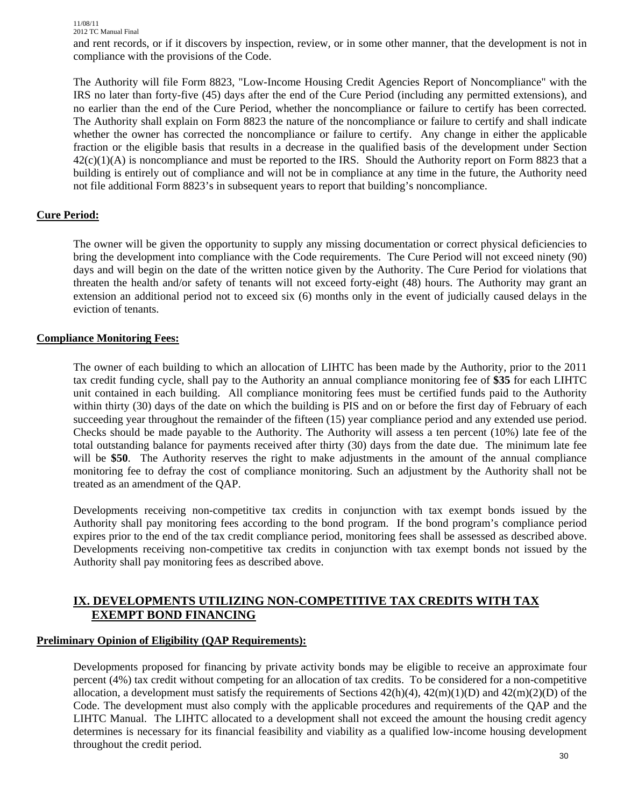and rent records, or if it discovers by inspection, review, or in some other manner, that the development is not in compliance with the provisions of the Code.

The Authority will file Form 8823, "Low-Income Housing Credit Agencies Report of Noncompliance" with the IRS no later than forty-five (45) days after the end of the Cure Period (including any permitted extensions), and no earlier than the end of the Cure Period, whether the noncompliance or failure to certify has been corrected*.*  The Authority shall explain on Form 8823 the nature of the noncompliance or failure to certify and shall indicate whether the owner has corrected the noncompliance or failure to certify. Any change in either the applicable fraction or the eligible basis that results in a decrease in the qualified basis of the development under Section  $42(c)(1)(A)$  is noncompliance and must be reported to the IRS. Should the Authority report on Form 8823 that a building is entirely out of compliance and will not be in compliance at any time in the future, the Authority need not file additional Form 8823's in subsequent years to report that building's noncompliance.

#### **Cure Period:**

The owner will be given the opportunity to supply any missing documentation or correct physical deficiencies to bring the development into compliance with the Code requirements. The Cure Period will not exceed ninety (90) days and will begin on the date of the written notice given by the Authority. The Cure Period for violations that threaten the health and/or safety of tenants will not exceed forty-eight (48) hours. The Authority may grant an extension an additional period not to exceed six (6) months only in the event of judicially caused delays in the eviction of tenants.

#### **Compliance Monitoring Fees:**

The owner of each building to which an allocation of LIHTC has been made by the Authority, prior to the 2011 tax credit funding cycle, shall pay to the Authority an annual compliance monitoring fee of **\$35** for each LIHTC unit contained in each building. All compliance monitoring fees must be certified funds paid to the Authority within thirty (30) days of the date on which the building is PIS and on or before the first day of February of each succeeding year throughout the remainder of the fifteen (15) year compliance period and any extended use period. Checks should be made payable to the Authority. The Authority will assess a ten percent (10%) late fee of the total outstanding balance for payments received after thirty (30) days from the date due. The minimum late fee will be **\$50**. The Authority reserves the right to make adjustments in the amount of the annual compliance monitoring fee to defray the cost of compliance monitoring. Such an adjustment by the Authority shall not be treated as an amendment of the QAP.

Developments receiving non-competitive tax credits in conjunction with tax exempt bonds issued by the Authority shall pay monitoring fees according to the bond program. If the bond program's compliance period expires prior to the end of the tax credit compliance period, monitoring fees shall be assessed as described above. Developments receiving non-competitive tax credits in conjunction with tax exempt bonds not issued by the Authority shall pay monitoring fees as described above.

## **IX. DEVELOPMENTS UTILIZING NON-COMPETITIVE TAX CREDITS WITH TAX EXEMPT BOND FINANCING**

#### **Preliminary Opinion of Eligibility (QAP Requirements):**

Developments proposed for financing by private activity bonds may be eligible to receive an approximate four percent (4%) tax credit without competing for an allocation of tax credits. To be considered for a non-competitive allocation, a development must satisfy the requirements of Sections  $42(h)(4)$ ,  $42(m)(1)(D)$  and  $42(m)(2)(D)$  of the Code. The development must also comply with the applicable procedures and requirements of the QAP and the LIHTC Manual. The LIHTC allocated to a development shall not exceed the amount the housing credit agency determines is necessary for its financial feasibility and viability as a qualified low-income housing development throughout the credit period.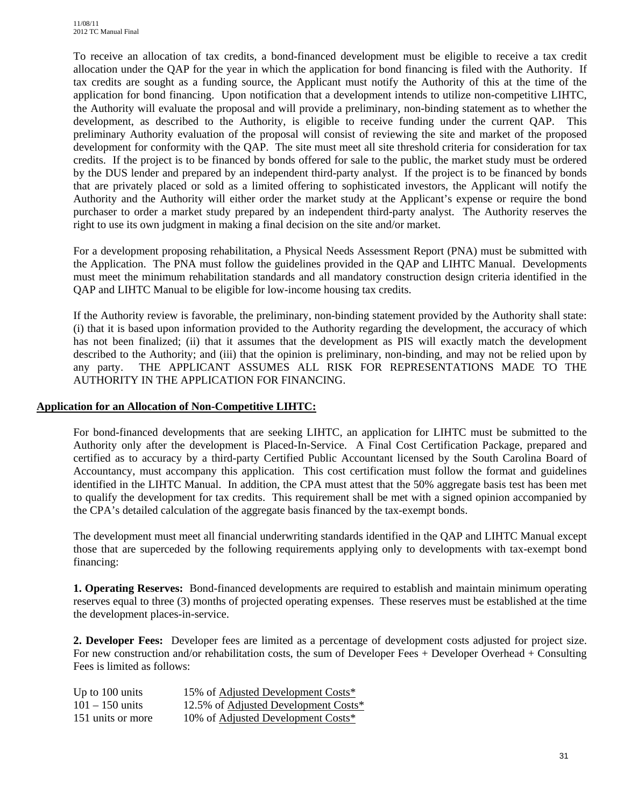To receive an allocation of tax credits, a bond-financed development must be eligible to receive a tax credit allocation under the QAP for the year in which the application for bond financing is filed with the Authority. If tax credits are sought as a funding source, the Applicant must notify the Authority of this at the time of the application for bond financing. Upon notification that a development intends to utilize non-competitive LIHTC, the Authority will evaluate the proposal and will provide a preliminary, non-binding statement as to whether the development, as described to the Authority, is eligible to receive funding under the current QAP. This preliminary Authority evaluation of the proposal will consist of reviewing the site and market of the proposed development for conformity with the QAP. The site must meet all site threshold criteria for consideration for tax credits. If the project is to be financed by bonds offered for sale to the public, the market study must be ordered by the DUS lender and prepared by an independent third-party analyst. If the project is to be financed by bonds that are privately placed or sold as a limited offering to sophisticated investors, the Applicant will notify the Authority and the Authority will either order the market study at the Applicant's expense or require the bond purchaser to order a market study prepared by an independent third-party analyst. The Authority reserves the right to use its own judgment in making a final decision on the site and/or market.

For a development proposing rehabilitation, a Physical Needs Assessment Report (PNA) must be submitted with the Application. The PNA must follow the guidelines provided in the QAP and LIHTC Manual. Developments must meet the minimum rehabilitation standards and all mandatory construction design criteria identified in the QAP and LIHTC Manual to be eligible for low-income housing tax credits.

If the Authority review is favorable, the preliminary, non-binding statement provided by the Authority shall state: (i) that it is based upon information provided to the Authority regarding the development, the accuracy of which has not been finalized; (ii) that it assumes that the development as PIS will exactly match the development described to the Authority; and (iii) that the opinion is preliminary, non-binding, and may not be relied upon by any party. THE APPLICANT ASSUMES ALL RISK FOR REPRESENTATIONS MADE TO THE AUTHORITY IN THE APPLICATION FOR FINANCING.

#### **Application for an Allocation of Non-Competitive LIHTC:**

For bond-financed developments that are seeking LIHTC, an application for LIHTC must be submitted to the Authority only after the development is Placed-In-Service. A Final Cost Certification Package, prepared and certified as to accuracy by a third-party Certified Public Accountant licensed by the South Carolina Board of Accountancy, must accompany this application. This cost certification must follow the format and guidelines identified in the LIHTC Manual. In addition, the CPA must attest that the 50% aggregate basis test has been met to qualify the development for tax credits. This requirement shall be met with a signed opinion accompanied by the CPA's detailed calculation of the aggregate basis financed by the tax-exempt bonds.

The development must meet all financial underwriting standards identified in the QAP and LIHTC Manual except those that are superceded by the following requirements applying only to developments with tax-exempt bond financing:

**1. Operating Reserves:** Bond-financed developments are required to establish and maintain minimum operating reserves equal to three (3) months of projected operating expenses. These reserves must be established at the time the development places-in-service.

**2. Developer Fees:** Developer fees are limited as a percentage of development costs adjusted for project size. For new construction and/or rehabilitation costs, the sum of Developer Fees + Developer Overhead + Consulting Fees is limited as follows:

| Up to 100 units   | 15% of Adjusted Development Costs*   |
|-------------------|--------------------------------------|
| $101 - 150$ units | 12.5% of Adjusted Development Costs* |
| 151 units or more | 10% of Adjusted Development Costs*   |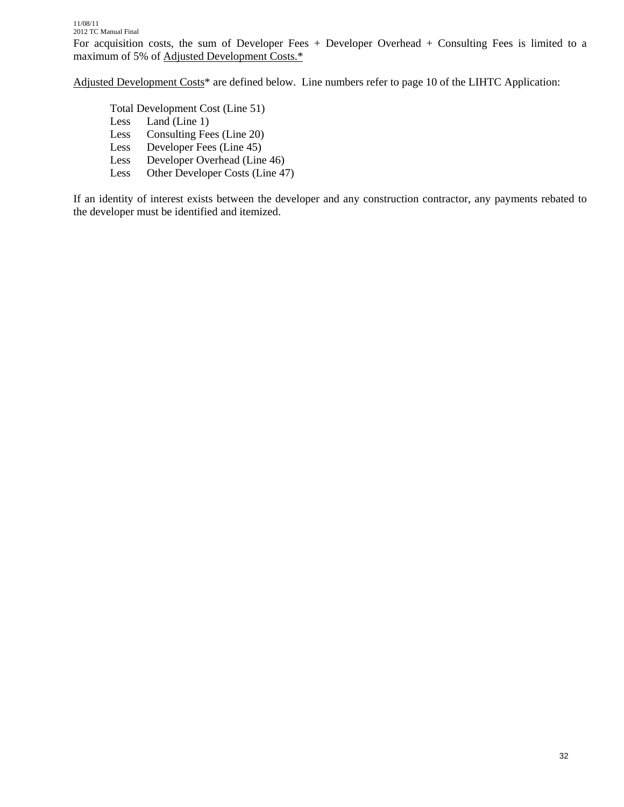Adjusted Development Costs<sup>\*</sup> are defined below. Line numbers refer to page 10 of the LIHTC Application:

 Total Development Cost (Line 51) Less Land (Line 1) Less Consulting Fees (Line 20) Less Developer Fees (Line 45) Less Developer Overhead (Line 46) Less Other Developer Costs (Line 47)

If an identity of interest exists between the developer and any construction contractor, any payments rebated to the developer must be identified and itemized.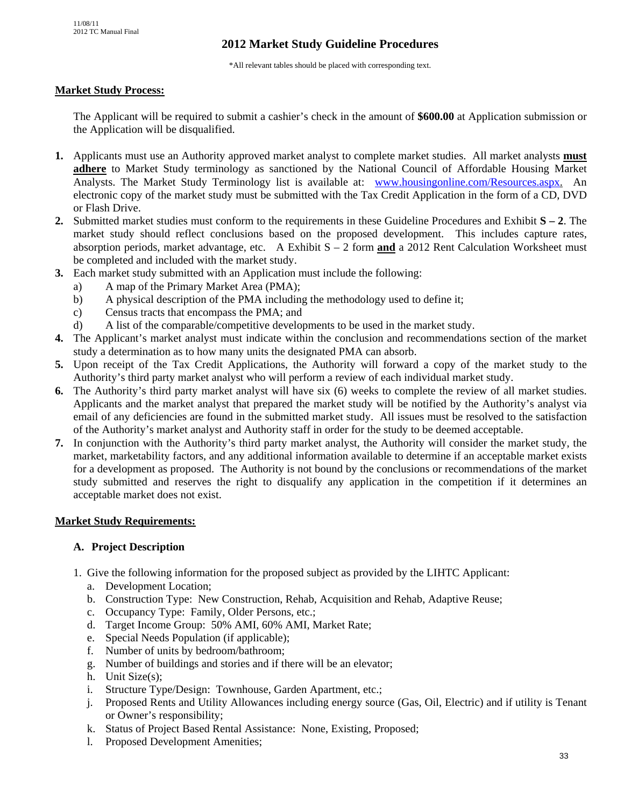# **2012 Market Study Guideline Procedures**

\*All relevant tables should be placed with corresponding text.

#### **Market Study Process:**

The Applicant will be required to submit a cashier's check in the amount of **\$600.00** at Application submission or the Application will be disqualified.

- **1.** Applicants must use an Authority approved market analyst to complete market studies. All market analysts **must adhere** to Market Study terminology as sanctioned by the National Council of Affordable Housing Market Analysts. The Market Study Terminology list is available at: www.housingonline.com/Resources.aspx. An electronic copy of the market study must be submitted with the Tax Credit Application in the form of a CD, DVD or Flash Drive.
- **2.** Submitted market studies must conform to the requirements in these Guideline Procedures and Exhibit **S 2**. The market study should reflect conclusions based on the proposed development. This includes capture rates, absorption periods, market advantage, etc. A Exhibit S – 2 form **and** a 2012 Rent Calculation Worksheet must be completed and included with the market study.
- **3.** Each market study submitted with an Application must include the following:
	- a) A map of the Primary Market Area (PMA);
	- b) A physical description of the PMA including the methodology used to define it;
	- c) Census tracts that encompass the PMA; and
	- d) A list of the comparable/competitive developments to be used in the market study.
- **4.** The Applicant's market analyst must indicate within the conclusion and recommendations section of the market study a determination as to how many units the designated PMA can absorb.
- **5.** Upon receipt of the Tax Credit Applications, the Authority will forward a copy of the market study to the Authority's third party market analyst who will perform a review of each individual market study.
- **6.** The Authority's third party market analyst will have six (6) weeks to complete the review of all market studies. Applicants and the market analyst that prepared the market study will be notified by the Authority's analyst via email of any deficiencies are found in the submitted market study. All issues must be resolved to the satisfaction of the Authority's market analyst and Authority staff in order for the study to be deemed acceptable.
- **7.** In conjunction with the Authority's third party market analyst, the Authority will consider the market study, the market, marketability factors, and any additional information available to determine if an acceptable market exists for a development as proposed. The Authority is not bound by the conclusions or recommendations of the market study submitted and reserves the right to disqualify any application in the competition if it determines an acceptable market does not exist.

#### **Market Study Requirements:**

#### **A. Project Description**

- 1. Give the following information for the proposed subject as provided by the LIHTC Applicant:
	- a. Development Location;
	- b. Construction Type: New Construction, Rehab, Acquisition and Rehab, Adaptive Reuse;
	- c. Occupancy Type: Family, Older Persons, etc.;
	- d. Target Income Group: 50% AMI, 60% AMI, Market Rate;
	- e. Special Needs Population (if applicable);
	- f. Number of units by bedroom/bathroom;
	- g. Number of buildings and stories and if there will be an elevator;
	- h. Unit Size(s);
	- i. Structure Type/Design: Townhouse, Garden Apartment, etc.;
	- j. Proposed Rents and Utility Allowances including energy source (Gas, Oil, Electric) and if utility is Tenant or Owner's responsibility;
	- k. Status of Project Based Rental Assistance: None, Existing, Proposed;
	- l. Proposed Development Amenities;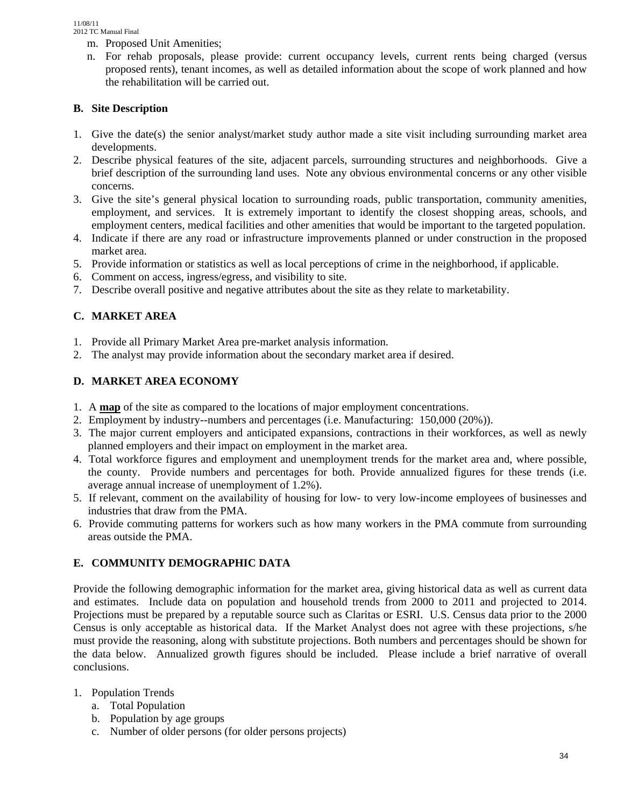- m. Proposed Unit Amenities;
- n. For rehab proposals, please provide: current occupancy levels, current rents being charged (versus proposed rents), tenant incomes, as well as detailed information about the scope of work planned and how the rehabilitation will be carried out.

## **B. Site Description**

- 1. Give the date(s) the senior analyst/market study author made a site visit including surrounding market area developments.
- 2. Describe physical features of the site, adjacent parcels, surrounding structures and neighborhoods. Give a brief description of the surrounding land uses. Note any obvious environmental concerns or any other visible concerns.
- 3. Give the site's general physical location to surrounding roads, public transportation, community amenities, employment, and services. It is extremely important to identify the closest shopping areas, schools, and employment centers, medical facilities and other amenities that would be important to the targeted population.
- 4. Indicate if there are any road or infrastructure improvements planned or under construction in the proposed market area.
- 5. Provide information or statistics as well as local perceptions of crime in the neighborhood, if applicable.
- 6. Comment on access, ingress/egress, and visibility to site.
- 7. Describe overall positive and negative attributes about the site as they relate to marketability.

# **C. MARKET AREA**

- 1. Provide all Primary Market Area pre-market analysis information.
- 2. The analyst may provide information about the secondary market area if desired.

## **D. MARKET AREA ECONOMY**

- 1. A **map** of the site as compared to the locations of major employment concentrations.
- 2. Employment by industry--numbers and percentages (i.e. Manufacturing: 150,000 (20%)).
- 3. The major current employers and anticipated expansions, contractions in their workforces, as well as newly planned employers and their impact on employment in the market area.
- 4. Total workforce figures and employment and unemployment trends for the market area and, where possible, the county. Provide numbers and percentages for both. Provide annualized figures for these trends (i.e. average annual increase of unemployment of 1.2%).
- 5. If relevant, comment on the availability of housing for low- to very low-income employees of businesses and industries that draw from the PMA.
- 6. Provide commuting patterns for workers such as how many workers in the PMA commute from surrounding areas outside the PMA.

# **E. COMMUNITY DEMOGRAPHIC DATA**

Provide the following demographic information for the market area, giving historical data as well as current data and estimates. Include data on population and household trends from 2000 to 2011 and projected to 2014. Projections must be prepared by a reputable source such as Claritas or ESRI. U.S. Census data prior to the 2000 Census is only acceptable as historical data. If the Market Analyst does not agree with these projections, s/he must provide the reasoning, along with substitute projections. Both numbers and percentages should be shown for the data below. Annualized growth figures should be included. Please include a brief narrative of overall conclusions.

## 1. Population Trends

- a. Total Population
- b. Population by age groups
- c. Number of older persons (for older persons projects)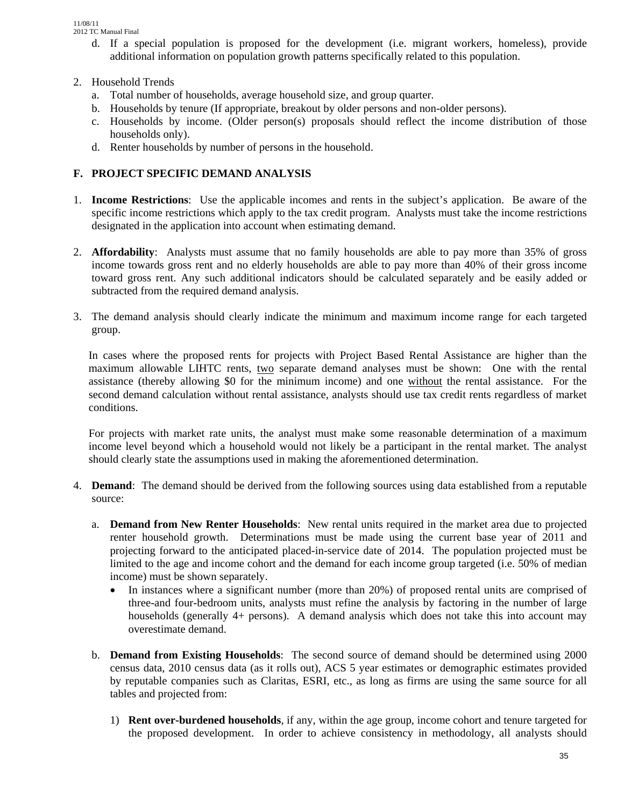- d. If a special population is proposed for the development (i.e. migrant workers, homeless), provide additional information on population growth patterns specifically related to this population.
- 2. Household Trends
	- a. Total number of households, average household size, and group quarter.
	- b. Households by tenure (If appropriate, breakout by older persons and non-older persons).
	- c. Households by income. (Older person(s) proposals should reflect the income distribution of those households only).
	- d. Renter households by number of persons in the household.

## **F. PROJECT SPECIFIC DEMAND ANALYSIS**

- 1. **Income Restrictions**: Use the applicable incomes and rents in the subject's application. Be aware of the specific income restrictions which apply to the tax credit program. Analysts must take the income restrictions designated in the application into account when estimating demand.
- 2. **Affordability**: Analysts must assume that no family households are able to pay more than 35% of gross income towards gross rent and no elderly households are able to pay more than 40% of their gross income toward gross rent. Any such additional indicators should be calculated separately and be easily added or subtracted from the required demand analysis.
- 3. The demand analysis should clearly indicate the minimum and maximum income range for each targeted group.

In cases where the proposed rents for projects with Project Based Rental Assistance are higher than the maximum allowable LIHTC rents, two separate demand analyses must be shown: One with the rental assistance (thereby allowing \$0 for the minimum income) and one without the rental assistance. For the second demand calculation without rental assistance, analysts should use tax credit rents regardless of market conditions.

For projects with market rate units, the analyst must make some reasonable determination of a maximum income level beyond which a household would not likely be a participant in the rental market. The analyst should clearly state the assumptions used in making the aforementioned determination.

- 4. **Demand**: The demand should be derived from the following sources using data established from a reputable source:
	- a. **Demand from New Renter Households**: New rental units required in the market area due to projected renter household growth. Determinations must be made using the current base year of 2011 and projecting forward to the anticipated placed-in-service date of 2014. The population projected must be limited to the age and income cohort and the demand for each income group targeted (i.e. 50% of median income) must be shown separately.
		- In instances where a significant number (more than 20%) of proposed rental units are comprised of three-and four-bedroom units, analysts must refine the analysis by factoring in the number of large households (generally 4+ persons). A demand analysis which does not take this into account may overestimate demand.
	- b. **Demand from Existing Households**: The second source of demand should be determined using 2000 census data, 2010 census data (as it rolls out), ACS 5 year estimates or demographic estimates provided by reputable companies such as Claritas, ESRI, etc., as long as firms are using the same source for all tables and projected from:
		- 1) **Rent over-burdened households**, if any, within the age group, income cohort and tenure targeted for the proposed development. In order to achieve consistency in methodology, all analysts should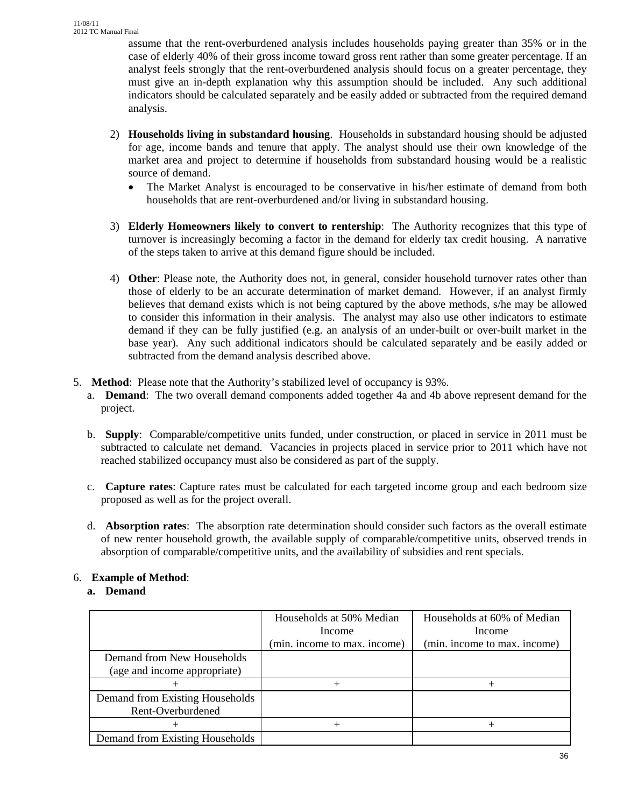assume that the rent-overburdened analysis includes households paying greater than 35% or in the case of elderly 40% of their gross income toward gross rent rather than some greater percentage. If an analyst feels strongly that the rent-overburdened analysis should focus on a greater percentage, they must give an in-depth explanation why this assumption should be included. Any such additional indicators should be calculated separately and be easily added or subtracted from the required demand analysis.

- 2) **Households living in substandard housing**. Households in substandard housing should be adjusted for age, income bands and tenure that apply. The analyst should use their own knowledge of the market area and project to determine if households from substandard housing would be a realistic source of demand.
	- The Market Analyst is encouraged to be conservative in his/her estimate of demand from both households that are rent-overburdened and/or living in substandard housing.
- 3) **Elderly Homeowners likely to convert to rentership**: The Authority recognizes that this type of turnover is increasingly becoming a factor in the demand for elderly tax credit housing. A narrative of the steps taken to arrive at this demand figure should be included.
- 4) **Other**: Please note, the Authority does not, in general, consider household turnover rates other than those of elderly to be an accurate determination of market demand. However, if an analyst firmly believes that demand exists which is not being captured by the above methods, s/he may be allowed to consider this information in their analysis. The analyst may also use other indicators to estimate demand if they can be fully justified (e.g. an analysis of an under-built or over-built market in the base year). Any such additional indicators should be calculated separately and be easily added or subtracted from the demand analysis described above.
- 5. **Method**: Please note that the Authority's stabilized level of occupancy is 93%.
	- a. **Demand**: The two overall demand components added together 4a and 4b above represent demand for the project.
	- b. **Supply**: Comparable/competitive units funded, under construction, or placed in service in 2011 must be subtracted to calculate net demand. Vacancies in projects placed in service prior to 2011 which have not reached stabilized occupancy must also be considered as part of the supply.
	- c. **Capture rates**: Capture rates must be calculated for each targeted income group and each bedroom size proposed as well as for the project overall.
	- d. **Absorption rates**: The absorption rate determination should consider such factors as the overall estimate of new renter household growth, the available supply of comparable/competitive units, observed trends in absorption of comparable/competitive units, and the availability of subsidies and rent specials.

# 6. **Example of Method**:

## **a. Demand**

|                                 | Households at 50% Median<br>Income | Households at 60% of Median<br>Income |
|---------------------------------|------------------------------------|---------------------------------------|
|                                 | (min. income to max. income)       | (min. income to max. income)          |
| Demand from New Households      |                                    |                                       |
| (age and income appropriate)    |                                    |                                       |
|                                 | $^+$                               |                                       |
| Demand from Existing Households |                                    |                                       |
| Rent-Overburdened               |                                    |                                       |
|                                 |                                    |                                       |
| Demand from Existing Households |                                    |                                       |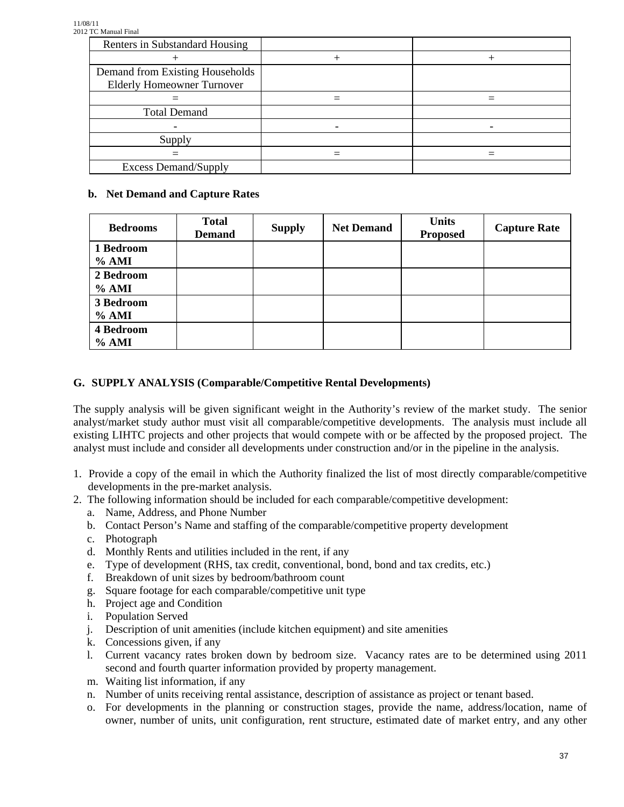| Renters in Substandard Housing    |  |
|-----------------------------------|--|
|                                   |  |
| Demand from Existing Households   |  |
| <b>Elderly Homeowner Turnover</b> |  |
|                                   |  |
| <b>Total Demand</b>               |  |
|                                   |  |
| Supply                            |  |
|                                   |  |
| <b>Excess Demand/Supply</b>       |  |

## **b. Net Demand and Capture Rates**

| <b>Bedrooms</b>    | <b>Total</b><br><b>Demand</b> | <b>Supply</b> | <b>Net Demand</b> | <b>Units</b><br><b>Proposed</b> | <b>Capture Rate</b> |
|--------------------|-------------------------------|---------------|-------------------|---------------------------------|---------------------|
| 1 Bedroom<br>% AMI |                               |               |                   |                                 |                     |
| 2 Bedroom<br>% AMI |                               |               |                   |                                 |                     |
| 3 Bedroom<br>% AMI |                               |               |                   |                                 |                     |
| 4 Bedroom<br>% AMI |                               |               |                   |                                 |                     |

# **G. SUPPLY ANALYSIS (Comparable/Competitive Rental Developments)**

The supply analysis will be given significant weight in the Authority's review of the market study. The senior analyst/market study author must visit all comparable/competitive developments. The analysis must include all existing LIHTC projects and other projects that would compete with or be affected by the proposed project. The analyst must include and consider all developments under construction and/or in the pipeline in the analysis.

- 1. Provide a copy of the email in which the Authority finalized the list of most directly comparable/competitive developments in the pre-market analysis.
- 2. The following information should be included for each comparable/competitive development:
	- a. Name, Address, and Phone Number
	- b. Contact Person's Name and staffing of the comparable/competitive property development
	- c. Photograph
	- d. Monthly Rents and utilities included in the rent, if any
	- e. Type of development (RHS, tax credit, conventional, bond, bond and tax credits, etc.)
	- f. Breakdown of unit sizes by bedroom/bathroom count
	- g. Square footage for each comparable/competitive unit type
	- h. Project age and Condition
	- i. Population Served
	- j. Description of unit amenities (include kitchen equipment) and site amenities
	- k. Concessions given, if any
	- l. Current vacancy rates broken down by bedroom size. Vacancy rates are to be determined using 2011 second and fourth quarter information provided by property management.
	- m. Waiting list information, if any
	- n. Number of units receiving rental assistance, description of assistance as project or tenant based.
	- o. For developments in the planning or construction stages, provide the name, address/location, name of owner, number of units, unit configuration, rent structure, estimated date of market entry, and any other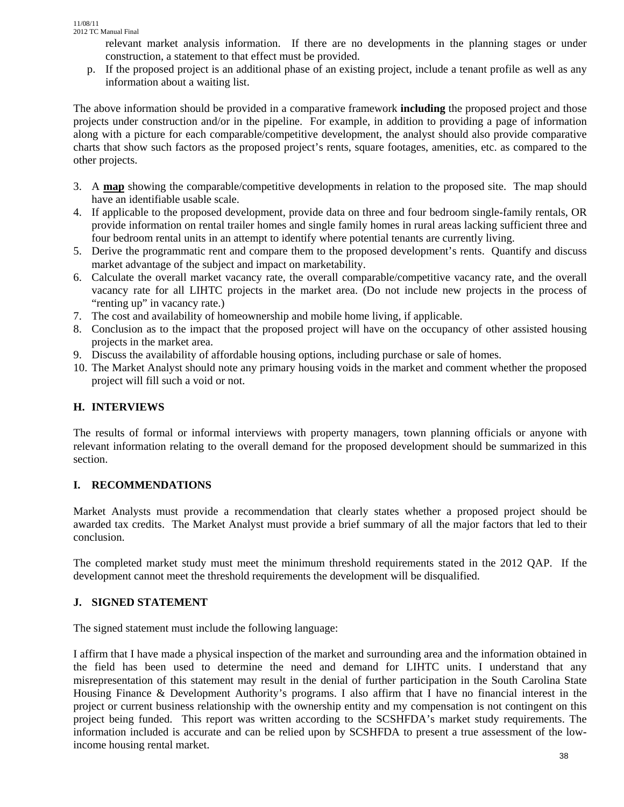relevant market analysis information. If there are no developments in the planning stages or under construction, a statement to that effect must be provided.

p. If the proposed project is an additional phase of an existing project, include a tenant profile as well as any information about a waiting list.

The above information should be provided in a comparative framework **including** the proposed project and those projects under construction and/or in the pipeline. For example, in addition to providing a page of information along with a picture for each comparable/competitive development, the analyst should also provide comparative charts that show such factors as the proposed project's rents, square footages, amenities, etc. as compared to the other projects.

- 3. A **map** showing the comparable/competitive developments in relation to the proposed site. The map should have an identifiable usable scale.
- 4. If applicable to the proposed development, provide data on three and four bedroom single-family rentals, OR provide information on rental trailer homes and single family homes in rural areas lacking sufficient three and four bedroom rental units in an attempt to identify where potential tenants are currently living.
- 5. Derive the programmatic rent and compare them to the proposed development's rents. Quantify and discuss market advantage of the subject and impact on marketability.
- 6. Calculate the overall market vacancy rate, the overall comparable/competitive vacancy rate, and the overall vacancy rate for all LIHTC projects in the market area. (Do not include new projects in the process of "renting up" in vacancy rate.)
- 7. The cost and availability of homeownership and mobile home living, if applicable.
- 8. Conclusion as to the impact that the proposed project will have on the occupancy of other assisted housing projects in the market area.
- 9. Discuss the availability of affordable housing options, including purchase or sale of homes.
- 10. The Market Analyst should note any primary housing voids in the market and comment whether the proposed project will fill such a void or not.

## **H. INTERVIEWS**

The results of formal or informal interviews with property managers, town planning officials or anyone with relevant information relating to the overall demand for the proposed development should be summarized in this section.

# **I. RECOMMENDATIONS**

Market Analysts must provide a recommendation that clearly states whether a proposed project should be awarded tax credits. The Market Analyst must provide a brief summary of all the major factors that led to their conclusion.

The completed market study must meet the minimum threshold requirements stated in the 2012 QAP. If the development cannot meet the threshold requirements the development will be disqualified.

# **J. SIGNED STATEMENT**

The signed statement must include the following language:

I affirm that I have made a physical inspection of the market and surrounding area and the information obtained in the field has been used to determine the need and demand for LIHTC units. I understand that any misrepresentation of this statement may result in the denial of further participation in the South Carolina State Housing Finance & Development Authority's programs. I also affirm that I have no financial interest in the project or current business relationship with the ownership entity and my compensation is not contingent on this project being funded. This report was written according to the SCSHFDA's market study requirements. The information included is accurate and can be relied upon by SCSHFDA to present a true assessment of the lowincome housing rental market.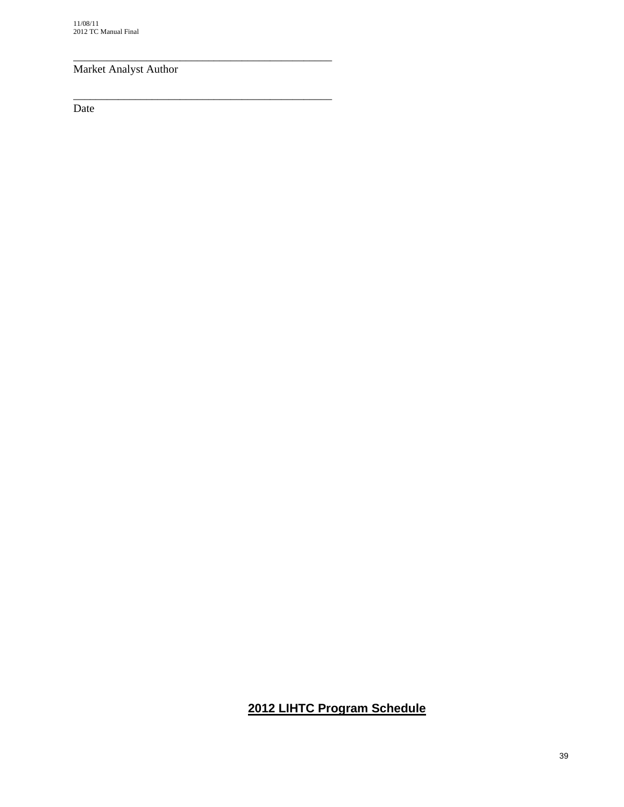# Market Analyst Author

\_\_\_\_\_\_\_\_\_\_\_\_\_\_\_\_\_\_\_\_\_\_\_\_\_\_\_\_\_\_\_\_\_\_\_\_\_\_\_\_\_\_\_\_\_\_

\_\_\_\_\_\_\_\_\_\_\_\_\_\_\_\_\_\_\_\_\_\_\_\_\_\_\_\_\_\_\_\_\_\_\_\_\_\_\_\_\_\_\_\_\_\_

Date

# **2012 LIHTC Program Schedule**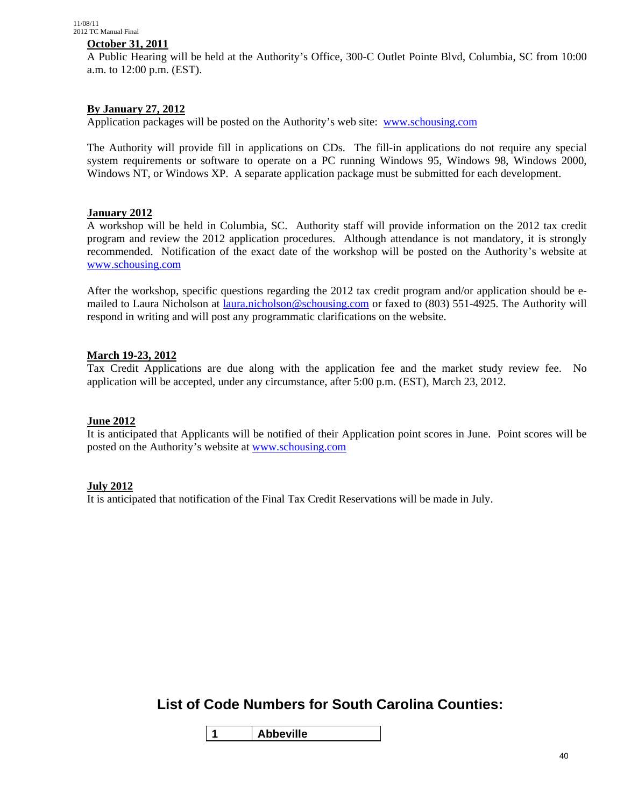#### **October 31, 2011**

A Public Hearing will be held at the Authority's Office, 300-C Outlet Pointe Blvd, Columbia, SC from 10:00 a.m. to 12:00 p.m. (EST).

#### **By January 27, 2012**

Application packages will be posted on the Authority's web site: www.schousing.com

The Authority will provide fill in applications on CDs. The fill-in applications do not require any special system requirements or software to operate on a PC running Windows 95, Windows 98, Windows 2000, Windows NT, or Windows XP. A separate application package must be submitted for each development.

#### **January 2012**

A workshop will be held in Columbia, SC. Authority staff will provide information on the 2012 tax credit program and review the 2012 application procedures. Although attendance is not mandatory, it is strongly recommended. Notification of the exact date of the workshop will be posted on the Authority's website at www.schousing.com

After the workshop, specific questions regarding the 2012 tax credit program and/or application should be emailed to Laura Nicholson at laura.nicholson@schousing.com or faxed to (803) 551-4925. The Authority will respond in writing and will post any programmatic clarifications on the website.

#### **March 19-23, 2012**

Tax Credit Applications are due along with the application fee and the market study review fee. No application will be accepted, under any circumstance, after 5:00 p.m. (EST), March 23, 2012.

#### **June 2012**

It is anticipated that Applicants will be notified of their Application point scores in June. Point scores will be posted on the Authority's website at www.schousing.com

#### **July 2012**

It is anticipated that notification of the Final Tax Credit Reservations will be made in July.

# **List of Code Numbers for South Carolina Counties:**

**1 Abbeville**